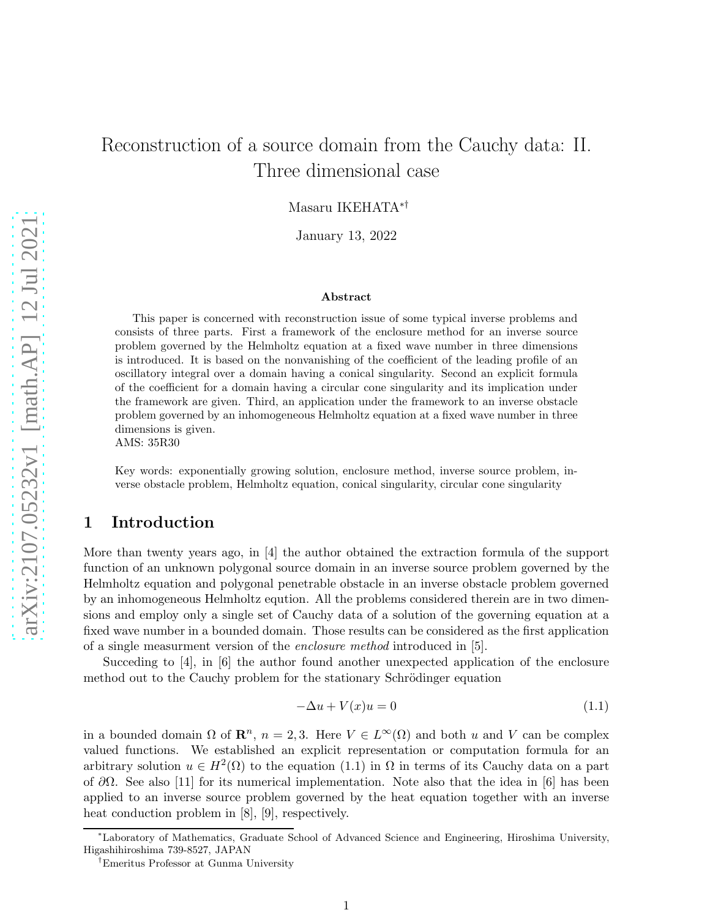# Reconstruction of a source domain from the Cauchy data: II. Three dimensional case

Masaru IKEHATA∗†

January 13, 2022

#### ${\rm Abstract}$

This paper is concerned with reconstruction issue of some typical inverse problems and consists of three parts. First a framework of the enclosure method for an inverse source problem governed by the Helmholtz equation at a fixed wave number in three dimensions is introduced. It is based on the nonvanishing of the coefficient of the leading profile of an oscillatory integral over a domain having a conical singularity. Second an explicit formula of the coefficient for a domain having a circular cone singularity and its implication under the framework are given. Third, an application under the framework to an inverse obstacle problem governed by an inhomogeneous Helmholtz equation at a fixed wave number in three dimensions is given.

AMS: 35R30

Key words: exponentially growing solution, enclosure method, inverse source problem, inverse obstacle problem, Helmholtz equation, conical singularity, circular cone singularity

# 1 Introduction

More than twenty years ago, in [4] the author obtained the extraction formula of the support function of an unknown polygonal source domain in an inverse source problem governed by the Helmholtz equation and polygonal penetrable obstacle in an inverse obstacle problem governed by an inhomogeneous Helmholtz eqution. All the problems considered therein are in two dimensions and employ only a single set of Cauchy data of a solution of the governing equation at a fixed wave number in a bounded domain. Those results can be considered as the first application of a single measurment version of the enclosure method introduced in [5].

Succeding to [4], in [6] the author found another unexpected application of the enclosure method out to the Cauchy problem for the stationary Schrödinger equation

$$
-\Delta u + V(x)u = 0 \tag{1.1}
$$

in a bounded domain  $\Omega$  of  $\mathbb{R}^n$ ,  $n = 2, 3$ . Here  $V \in L^{\infty}(\Omega)$  and both u and V can be complex valued functions. We established an explicit representation or computation formula for an arbitrary solution  $u \in H^2(\Omega)$  to the equation (1.1) in  $\Omega$  in terms of its Cauchy data on a part of  $\partial\Omega$ . See also [11] for its numerical implementation. Note also that the idea in [6] has been applied to an inverse source problem governed by the heat equation together with an inverse heat conduction problem in [8], [9], respectively.

<sup>∗</sup>Laboratory of Mathematics, Graduate School of Advanced Science and Engineering, Hiroshima University, Higashihiroshima 739-8527, JAPAN

<sup>†</sup>Emeritus Professor at Gunma University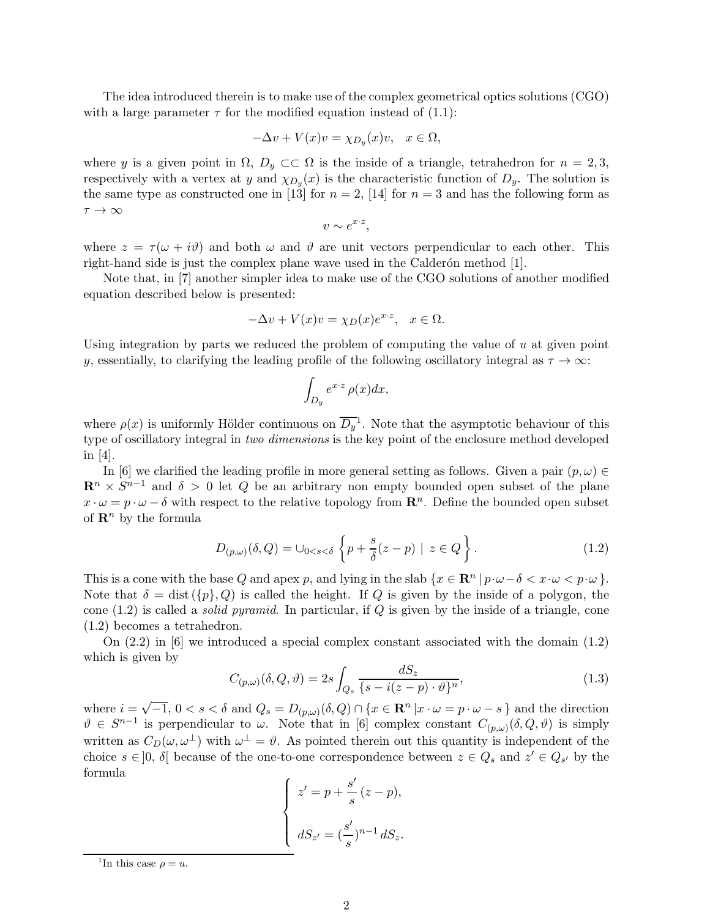The idea introduced therein is to make use of the complex geometrical optics solutions (CGO) with a large parameter  $\tau$  for the modified equation instead of (1.1):

$$
-\Delta v + V(x)v = \chi_{D_y}(x)v, \quad x \in \Omega,
$$

where y is a given point in  $\Omega$ ,  $D_y \subset\subset \Omega$  is the inside of a triangle, tetrahedron for  $n = 2,3$ , respectively with a vertex at y and  $\chi_{D_y}(x)$  is the characteristic function of  $D_y$ . The solution is the same type as constructed one in [13] for  $n = 2$ , [14] for  $n = 3$  and has the following form as  $\tau \to \infty$ 

$$
v \sim e^{x \cdot z},
$$

where  $z = \tau(\omega + i\vartheta)$  and both  $\omega$  and  $\vartheta$  are unit vectors perpendicular to each other. This right-hand side is just the complex plane wave used in the Calder $\alpha$ n method [1].

Note that, in [7] another simpler idea to make use of the CGO solutions of another modified equation described below is presented:

$$
-\Delta v + V(x)v = \chi_D(x)e^{x \cdot z}, \quad x \in \Omega.
$$

Using integration by parts we reduced the problem of computing the value of u at given point y, essentially, to clarifying the leading profile of the following oscillatory integral as  $\tau \to \infty$ :

$$
\int_{D_y} e^{x \cdot z} \, \rho(x) dx,
$$

where  $\rho(x)$  is uniformly Hölder continuous on  $\overline{D_y}^1$ . Note that the asymptotic behaviour of this type of oscillatory integral in two dimensions is the key point of the enclosure method developed in [4].

In [6] we clarified the leading profile in more general setting as follows. Given a pair  $(p, \omega) \in$  $\mathbb{R}^n \times S^{n-1}$  and  $\delta > 0$  let Q be an arbitrary non empty bounded open subset of the plane  $x \cdot \omega = p \cdot \omega - \delta$  with respect to the relative topology from  $\mathbb{R}^n$ . Define the bounded open subset of  $\mathbb{R}^n$  by the formula

$$
D_{(p,\omega)}(\delta,Q) = \cup_{0 < s < \delta} \left\{ p + \frac{s}{\delta}(z-p) \mid z \in Q \right\}.
$$
\n(1.2)

This is a cone with the base Q and apex p, and lying in the slab  $\{x \in \mathbb{R}^n \mid p \cdot \omega - \delta < x \cdot \omega < p \cdot \omega\}$ . Note that  $\delta = \text{dist}(\{p\}, Q)$  is called the height. If Q is given by the inside of a polygon, the cone  $(1.2)$  is called a *solid pyramid*. In particular, if Q is given by the inside of a triangle, cone (1.2) becomes a tetrahedron.

On (2.2) in [6] we introduced a special complex constant associated with the domain (1.2) which is given by

$$
C_{(p,\omega)}(\delta,Q,\vartheta) = 2s \int_{Q_s} \frac{dS_z}{\{s - i(z - p) \cdot \vartheta\}^n},\tag{1.3}
$$

where  $i = \sqrt{-1}$ ,  $0 < s < \delta$  and  $Q_s = D_{(p,\omega)}(\delta, Q) \cap \{x \in \mathbb{R}^n | x \cdot \omega = p \cdot \omega - s\}$  and the direction  $\vartheta \in S^{n-1}$  is perpendicular to  $\omega$ . Note that in [6] complex constant  $C_{(p,\omega)}(\delta,Q,\vartheta)$  is simply written as  $C_D(\omega, \omega^{\perp})$  with  $\omega^{\perp} = \vartheta$ . As pointed therein out this quantity is independent of the choice  $s \in ]0, \delta[$  because of the one-to-one correspondence between  $z \in Q_s$  and  $z' \in Q_{s'}$  by the formula

$$
\begin{cases}\nz' = p + \frac{s'}{s}(z - p), \\
dS_{z'} = \left(\frac{s'}{s}\right)^{n-1} dS_z.\n\end{cases}
$$

<sup>&</sup>lt;sup>1</sup>In this case  $\rho = u$ .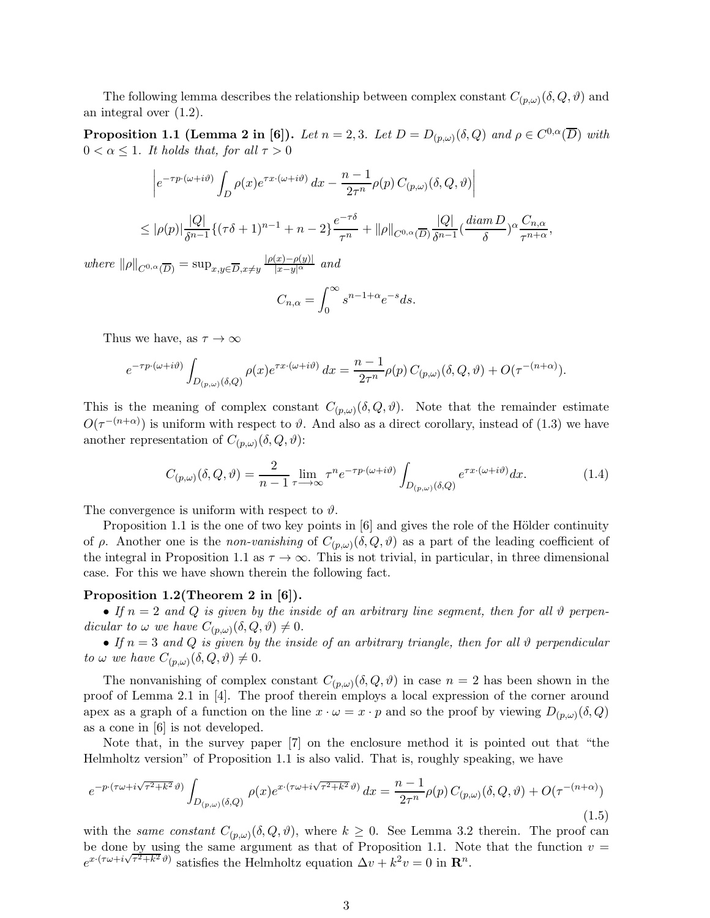The following lemma describes the relationship between complex constant  $C_{(p,\omega)}(\delta,Q,\vartheta)$  and an integral over (1.2).

**Proposition 1.1 (Lemma 2 in [6]).** Let  $n = 2, 3$ . Let  $D = D_{(p,\omega)}(\delta, Q)$  and  $\rho \in C^{0,\alpha}(\overline{D})$  with  $0 < \alpha \leq 1$ . It holds that, for all  $\tau > 0$ 

$$
\begin{aligned} & \left| e^{-\tau p \cdot (\omega + i\vartheta)} \int_D \rho(x) e^{\tau x \cdot (\omega + i\vartheta)} \, dx - \frac{n-1}{2\tau^n} \rho(p) \, C_{(p,\omega)}(\delta, Q, \vartheta) \right| \\ & \leq |\rho(p)| \frac{|Q|}{\delta^{n-1}} \{ (\tau \delta + 1)^{n-1} + n - 2 \} \frac{e^{-\tau \delta}}{\tau^n} + \|\rho\|_{C^{0,\alpha}(\overline{D})} \frac{|Q|}{\delta^{n-1}} \left( \frac{diam \, D}{\delta} \right)^\alpha \frac{C_{n,\alpha}}{\tau^{n+\alpha}}, \end{aligned}
$$

where  $\|\rho\|_{C^{0,\alpha}(\overline{D})} = \sup_{x,y\in\overline{D},x\neq y} \frac{|\rho(x)-\rho(y)|}{|x-y|^{\alpha}}$  and

$$
C_{n,\alpha} = \int_0^\infty s^{n-1+\alpha} e^{-s} ds.
$$

Thus we have, as  $\tau \to \infty$ 

$$
e^{-\tau p\cdot(\omega+i\vartheta)}\int_{D_{(p,\omega)}(\delta,Q)}\rho(x)e^{\tau x\cdot(\omega+i\vartheta)}\,dx=\frac{n-1}{2\tau^n}\rho(p)\,C_{(p,\omega)}(\delta,Q,\vartheta)+O(\tau^{-(n+\alpha)}).
$$

This is the meaning of complex constant  $C_{(p,\omega)}(\delta, Q, \vartheta)$ . Note that the remainder estimate  $O(\tau^{-(n+\alpha)})$  is uniform with respect to  $\vartheta$ . And also as a direct corollary, instead of (1.3) we have another representation of  $C_{(p,\omega)}(\delta,Q,\vartheta)$ :

$$
C_{(p,\omega)}(\delta,Q,\vartheta) = \frac{2}{n-1} \lim_{\tau \to \infty} \tau^n e^{-\tau p \cdot (\omega + i\vartheta)} \int_{D_{(p,\omega)}(\delta,Q)} e^{\tau x \cdot (\omega + i\vartheta)} dx.
$$
 (1.4)

The convergence is uniform with respect to  $\vartheta$ .

Proposition 1.1 is the one of two key points in  $[6]$  and gives the role of the Hölder continuity of  $\rho$ . Another one is the *non-vanishing* of  $C_{(p,\omega)}(\delta,Q,\vartheta)$  as a part of the leading coefficient of the integral in Proposition 1.1 as  $\tau \to \infty$ . This is not trivial, in particular, in three dimensional case. For this we have shown therein the following fact.

#### Proposition 1.2(Theorem 2 in [6]).

• If  $n = 2$  and Q is given by the inside of an arbitrary line segment, then for all  $\vartheta$  perpendicular to  $\omega$  we have  $C_{(p,\omega)}(\delta,Q,\vartheta) \neq 0$ .

• If  $n = 3$  and Q is given by the inside of an arbitrary triangle, then for all  $\vartheta$  perpendicular to  $\omega$  we have  $C_{(p,\omega)}(\delta,Q,\vartheta) \neq 0$ .

The nonvanishing of complex constant  $C_{(p,\omega)}(\delta, Q, \vartheta)$  in case  $n = 2$  has been shown in the proof of Lemma 2.1 in [4]. The proof therein employs a local expression of the corner around apex as a graph of a function on the line  $x \cdot \omega = x \cdot p$  and so the proof by viewing  $D_{(p,\omega)}(\delta, Q)$ as a cone in [6] is not developed.

Note that, in the survey paper [7] on the enclosure method it is pointed out that "the Helmholtz version" of Proposition 1.1 is also valid. That is, roughly speaking, we have

$$
e^{-p\cdot(\tau\omega+i\sqrt{\tau^2+k^2}\vartheta)}\int_{D_{(p,\omega)}(\delta,Q)}\rho(x)e^{x\cdot(\tau\omega+i\sqrt{\tau^2+k^2}\vartheta)}\,dx=\frac{n-1}{2\tau^n}\rho(p)\,C_{(p,\omega)}(\delta,Q,\vartheta)+O(\tau^{-(n+\alpha)})\tag{1.5}
$$

with the same constant  $C_{(p,\omega)}(\delta,Q,\vartheta)$ , where  $k \geq 0$ . See Lemma 3.2 therein. The proof can be done by using the same argument as that of Proposition 1.1. Note that the function  $v =$  $e^{x \cdot (\tau \omega + i \sqrt{\tau^2 + k^2} \vartheta)}$  satisfies the Helmholtz equation  $\Delta v + k^2 v = 0$  in  $\mathbb{R}^n$ .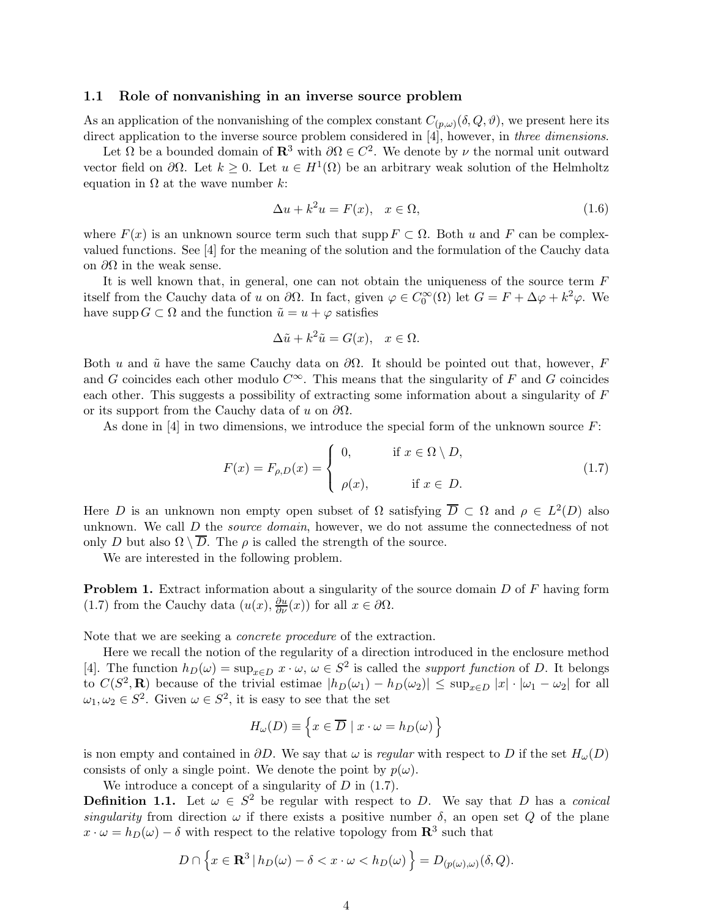#### 1.1 Role of nonvanishing in an inverse source problem

As an application of the nonvanishing of the complex constant  $C_{(p,\omega)}(\delta,Q,\vartheta)$ , we present here its direct application to the inverse source problem considered in [4], however, in three dimensions.

Let  $\Omega$  be a bounded domain of  $\mathbb{R}^3$  with  $\partial \Omega \in C^2$ . We denote by  $\nu$  the normal unit outward vector field on  $\partial\Omega$ . Let  $k \geq 0$ . Let  $u \in H^1(\Omega)$  be an arbitrary weak solution of the Helmholtz equation in  $\Omega$  at the wave number k:

$$
\Delta u + k^2 u = F(x), \quad x \in \Omega,
$$
\n(1.6)

where  $F(x)$  is an unknown source term such that supp  $F \subset \Omega$ . Both u and F can be complexvalued functions. See [4] for the meaning of the solution and the formulation of the Cauchy data on  $\partial\Omega$  in the weak sense.

It is well known that, in general, one can not obtain the uniqueness of the source term  $F$ itself from the Cauchy data of u on  $\partial\Omega$ . In fact, given  $\varphi \in C_0^{\infty}(\Omega)$  let  $G = F + \Delta \varphi + k^2 \varphi$ . We have supp  $G \subset \Omega$  and the function  $\tilde{u} = u + \varphi$  satisfies

$$
\Delta \tilde{u} + k^2 \tilde{u} = G(x), \quad x \in \Omega.
$$

Both u and  $\tilde{u}$  have the same Cauchy data on  $\partial\Omega$ . It should be pointed out that, however, F and G coincides each other modulo  $C^{\infty}$ . This means that the singularity of F and G coincides each other. This suggests a possibility of extracting some information about a singularity of F or its support from the Cauchy data of u on  $\partial\Omega$ .

As done in  $[4]$  in two dimensions, we introduce the special form of the unknown source  $F$ :

$$
F(x) = F_{\rho,D}(x) = \begin{cases} 0, & \text{if } x \in \Omega \setminus D, \\ \rho(x), & \text{if } x \in D. \end{cases}
$$
 (1.7)

Here D is an unknown non empty open subset of  $\Omega$  satisfying  $\overline{D} \subset \Omega$  and  $\rho \in L^2(D)$  also unknown. We call D the *source domain*, however, we do not assume the connectedness of not only D but also  $\Omega \setminus \overline{D}$ . The  $\rho$  is called the strength of the source.

We are interested in the following problem.

**Problem 1.** Extract information about a singularity of the source domain D of F having form (1.7) from the Cauchy data  $(u(x), \frac{\partial u}{\partial \nu}(x))$  for all  $x \in \partial \Omega$ .

Note that we are seeking a concrete procedure of the extraction.

Here we recall the notion of the regularity of a direction introduced in the enclosure method [4]. The function  $h_D(\omega) = \sup_{x \in D} x \cdot \omega, \ \omega \in S^2$  is called the *support function* of D. It belongs to  $C(S^2, \mathbf{R})$  because of the trivial estimae  $|h_D(\omega_1) - h_D(\omega_2)| \le \sup_{x \in D} |x| \cdot |\omega_1 - \omega_2|$  for all  $\omega_1, \omega_2 \in S^2$ . Given  $\omega \in S^2$ , it is easy to see that the set

$$
H_{\omega}(D) \equiv \left\{ x \in \overline{D} \mid x \cdot \omega = h_D(\omega) \right\}
$$

is non empty and contained in  $\partial D$ . We say that  $\omega$  is regular with respect to D if the set  $H_{\omega}(D)$ consists of only a single point. We denote the point by  $p(\omega)$ .

We introduce a concept of a singularity of  $D$  in  $(1.7)$ .

**Definition 1.1.** Let  $\omega \in S^2$  be regular with respect to D. We say that D has a conical singularity from direction  $\omega$  if there exists a positive number  $\delta$ , an open set Q of the plane  $x \cdot \omega = h_D(\omega) - \delta$  with respect to the relative topology from  $\mathbb{R}^3$  such that

$$
D \cap \left\{ x \in \mathbf{R}^3 \, | \, h_D(\omega) - \delta < x \cdot \omega < h_D(\omega) \right\} = D_{(p(\omega), \omega)}(\delta, Q).
$$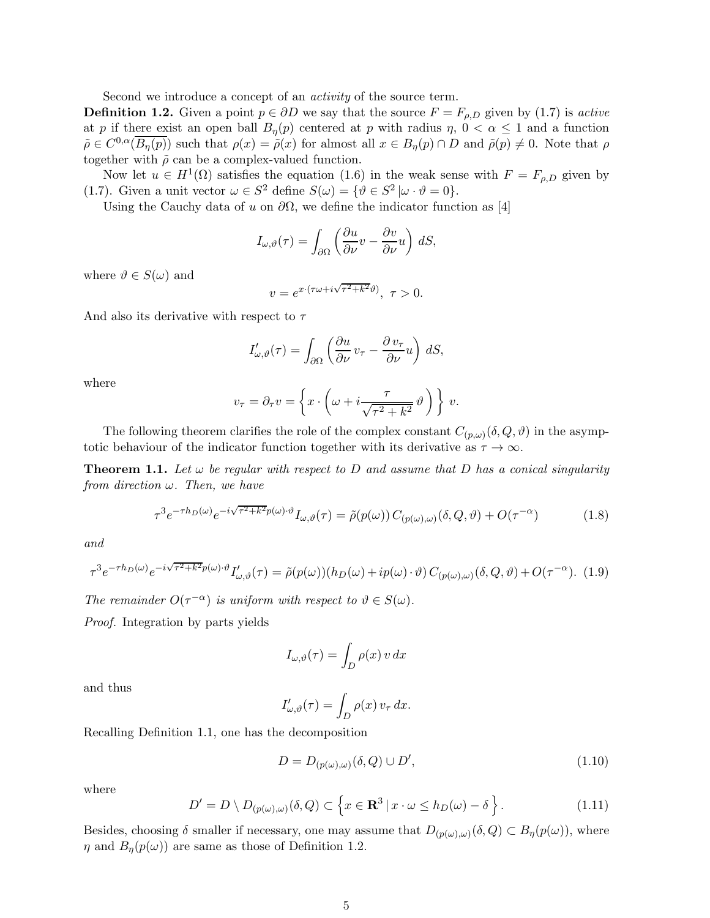Second we introduce a concept of an activity of the source term.

**Definition 1.2.** Given a point  $p \in \partial D$  we say that the source  $F = F_{\rho,D}$  given by (1.7) is active at p if there exist an open ball  $B_n(p)$  centered at p with radius  $\eta$ ,  $0 < \alpha \leq 1$  and a function  $\tilde{\rho} \in C^{0,\alpha}(\overline{B_{\eta}(p)})$  such that  $\rho(x) = \tilde{\rho}(x)$  for almost all  $x \in B_{\eta}(p) \cap D$  and  $\tilde{\rho}(p) \neq 0$ . Note that  $\rho$ together with  $\tilde{\rho}$  can be a complex-valued function.

Now let  $u \in H^1(\Omega)$  satisfies the equation (1.6) in the weak sense with  $F = F_{\rho,D}$  given by (1.7). Given a unit vector  $\omega \in S^2$  define  $S(\omega) = \{ \vartheta \in S^2 | \omega \cdot \vartheta = 0 \}.$ 

Using the Cauchy data of u on  $\partial\Omega$ , we define the indicator function as [4]

$$
I_{\omega,\vartheta}(\tau) = \int_{\partial\Omega} \left( \frac{\partial u}{\partial \nu} v - \frac{\partial v}{\partial \nu} u \right) dS,
$$

where  $\vartheta \in S(\omega)$  and

$$
v = e^{x \cdot (\tau \omega + i\sqrt{\tau^2 + k^2} \vartheta)}, \ \tau > 0.
$$

And also its derivative with respect to  $\tau$ 

$$
I'_{\omega,\vartheta}(\tau) = \int_{\partial\Omega} \left( \frac{\partial u}{\partial \nu} v_{\tau} - \frac{\partial v_{\tau}}{\partial \nu} u \right) dS,
$$

where

$$
v_{\tau} = \partial_{\tau} v = \left\{ x \cdot \left( \omega + i \frac{\tau}{\sqrt{\tau^2 + k^2}} \vartheta \right) \right\} v.
$$

The following theorem clarifies the role of the complex constant  $C_{(p,\omega)}(\delta,Q,\vartheta)$  in the asymptotic behaviour of the indicator function together with its derivative as  $\tau \to \infty$ .

**Theorem 1.1.** Let  $\omega$  be regular with respect to D and assume that D has a conical singularity from direction  $\omega$ . Then, we have

$$
\tau^3 e^{-\tau h_D(\omega)} e^{-i\sqrt{\tau^2 + k^2}p(\omega) \cdot \vartheta} I_{\omega, \vartheta}(\tau) = \tilde{\rho}(p(\omega)) C_{(p(\omega), \omega)}(\delta, Q, \vartheta) + O(\tau^{-\alpha}) \tag{1.8}
$$

and

$$
\tau^3 e^{-\tau h_D(\omega)} e^{-i\sqrt{\tau^2 + k^2}p(\omega) \cdot \vartheta} I'_{\omega,\vartheta}(\tau) = \tilde{\rho}(p(\omega))(h_D(\omega) + ip(\omega) \cdot \vartheta) C_{(p(\omega),\omega)}(\delta, Q, \vartheta) + O(\tau^{-\alpha}). \tag{1.9}
$$

The remainder  $O(\tau^{-\alpha})$  is uniform with respect to  $\vartheta \in S(\omega)$ .

Proof. Integration by parts yields

$$
I_{\omega,\vartheta}(\tau) = \int_D \rho(x) \, v \, dx
$$

and thus

$$
I'_{\omega,\vartheta}(\tau) = \int_D \rho(x) \, v_\tau \, dx.
$$

Recalling Definition 1.1, one has the decomposition

$$
D = D_{(p(\omega),\omega)}(\delta, Q) \cup D',\tag{1.10}
$$

where

$$
D' = D \setminus D_{(p(\omega),\omega)}(\delta, Q) \subset \left\{ x \in \mathbf{R}^3 \, | \, x \cdot \omega \le h_D(\omega) - \delta \right\}.
$$
 (1.11)

Besides, choosing  $\delta$  smaller if necessary, one may assume that  $D_{(p(\omega),\omega)}(\delta, Q) \subset B_{\eta}(p(\omega))$ , where  $\eta$  and  $B_{\eta}(p(\omega))$  are same as those of Definition 1.2.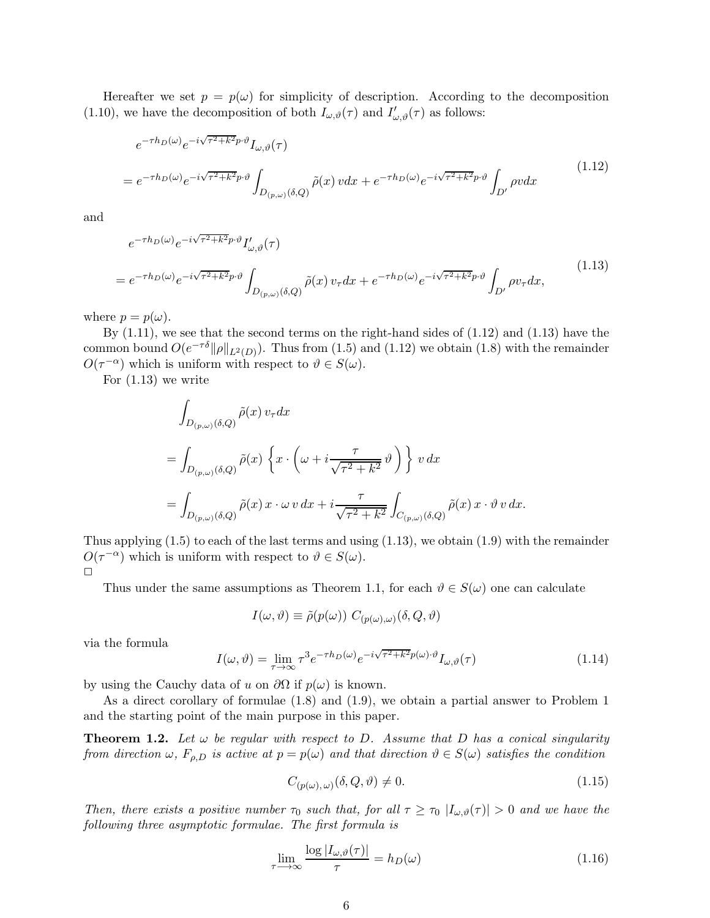Hereafter we set  $p = p(\omega)$  for simplicity of description. According to the decomposition (1.10), we have the decomposition of both  $I_{\omega,\vartheta}(\tau)$  and  $I'_{\omega,\vartheta}(\tau)$  as follows:

$$
e^{-\tau h_D(\omega)} e^{-i\sqrt{\tau^2 + k^2} p \cdot \vartheta} I_{\omega, \vartheta}(\tau)
$$
  
= 
$$
e^{-\tau h_D(\omega)} e^{-i\sqrt{\tau^2 + k^2} p \cdot \vartheta} \int_{D_{(p,\omega)}(\delta, Q)} \tilde{\rho}(x) v dx + e^{-\tau h_D(\omega)} e^{-i\sqrt{\tau^2 + k^2} p \cdot \vartheta} \int_{D'} \rho v dx
$$
 (1.12)

and

$$
e^{-\tau h_D(\omega)} e^{-i\sqrt{\tau^2 + k^2} p \cdot \vartheta} I'_{\omega, \vartheta}(\tau)
$$
  
= 
$$
e^{-\tau h_D(\omega)} e^{-i\sqrt{\tau^2 + k^2} p \cdot \vartheta} \int_{D_{(p,\omega)}(\delta, Q)} \tilde{\rho}(x) v_{\tau} dx + e^{-\tau h_D(\omega)} e^{-i\sqrt{\tau^2 + k^2} p \cdot \vartheta} \int_{D'} \rho v_{\tau} dx,
$$
 (1.13)

where  $p = p(\omega)$ .

By (1.11), we see that the second terms on the right-hand sides of (1.12) and (1.13) have the common bound  $O(e^{-\tau \delta} ||\rho||_{L^2(D)})$ . Thus from (1.5) and (1.12) we obtain (1.8) with the remainder  $O(\tau^{-\alpha})$  which is uniform with respect to  $\vartheta \in S(\omega)$ .

For (1.13) we write

$$
\int_{D_{(p,\omega)}(\delta,Q)} \tilde{\rho}(x) v_{\tau} dx
$$
\n
$$
= \int_{D_{(p,\omega)}(\delta,Q)} \tilde{\rho}(x) \left\{ x \cdot \left( \omega + i \frac{\tau}{\sqrt{\tau^2 + k^2}} \vartheta \right) \right\} v dx
$$
\n
$$
= \int_{D_{(p,\omega)}(\delta,Q)} \tilde{\rho}(x) x \cdot \omega v dx + i \frac{\tau}{\sqrt{\tau^2 + k^2}} \int_{C_{(p,\omega)}(\delta,Q)} \tilde{\rho}(x) x \cdot \vartheta v dx.
$$

Thus applying  $(1.5)$  to each of the last terms and using  $(1.13)$ , we obtain  $(1.9)$  with the remainder  $O(\tau^{-\alpha})$  which is uniform with respect to  $\vartheta \in S(\omega)$ .  $\Box$ 

Thus under the same assumptions as Theorem 1.1, for each  $\vartheta \in S(\omega)$  one can calculate

$$
I(\omega, \vartheta) \equiv \tilde{\rho}(p(\omega)) C_{(p(\omega), \omega)}(\delta, Q, \vartheta)
$$

via the formula

$$
I(\omega,\vartheta) = \lim_{\tau \to \infty} \tau^3 e^{-\tau h_D(\omega)} e^{-i\sqrt{\tau^2 + k^2}p(\omega) \cdot \vartheta} I_{\omega,\vartheta}(\tau)
$$
(1.14)

by using the Cauchy data of u on  $\partial\Omega$  if  $p(\omega)$  is known.

As a direct corollary of formulae (1.8) and (1.9), we obtain a partial answer to Problem 1 and the starting point of the main purpose in this paper.

**Theorem 1.2.** Let  $\omega$  be regular with respect to D. Assume that D has a conical singularity from direction  $\omega$ ,  $F_{\rho,D}$  is active at  $p = p(\omega)$  and that direction  $\vartheta \in S(\omega)$  satisfies the condition

$$
C_{(p(\omega),\,\omega)}(\delta,Q,\vartheta) \neq 0. \tag{1.15}
$$

Then, there exists a positive number  $\tau_0$  such that, for all  $\tau \geq \tau_0$   $|I_{\omega,\vartheta}(\tau)| > 0$  and we have the following three asymptotic formulae. The first formula is

$$
\lim_{\tau \to \infty} \frac{\log |I_{\omega,\vartheta}(\tau)|}{\tau} = h_D(\omega)
$$
\n(1.16)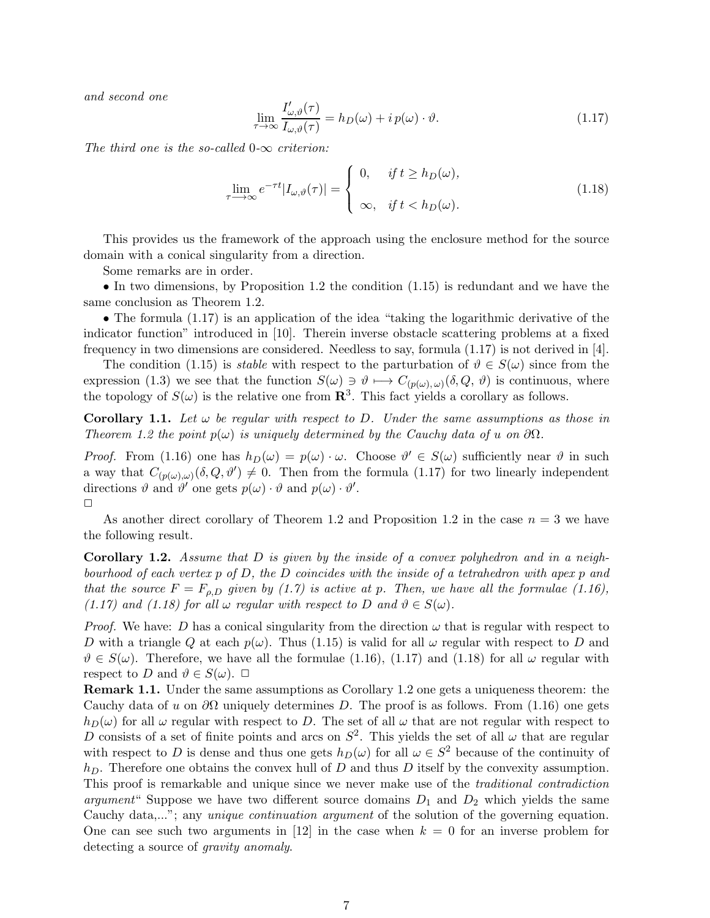and second one

$$
\lim_{\tau \to \infty} \frac{I'_{\omega,\vartheta}(\tau)}{I_{\omega,\vartheta}(\tau)} = h_D(\omega) + i p(\omega) \cdot \vartheta.
$$
\n(1.17)

The third one is the so-called  $0-\infty$  criterion:

$$
\lim_{\tau \to \infty} e^{-\tau t} |I_{\omega,\vartheta}(\tau)| = \begin{cases} 0, & \text{if } t \ge h_D(\omega), \\ \infty, & \text{if } t < h_D(\omega). \end{cases} \tag{1.18}
$$

This provides us the framework of the approach using the enclosure method for the source domain with a conical singularity from a direction.

Some remarks are in order.

• In two dimensions, by Proposition 1.2 the condition (1.15) is redundant and we have the same conclusion as Theorem 1.2.

• The formula (1.17) is an application of the idea "taking the logarithmic derivative of the indicator function" introduced in [10]. Therein inverse obstacle scattering problems at a fixed frequency in two dimensions are considered. Needless to say, formula  $(1.17)$  is not derived in [4].

The condition (1.15) is *stable* with respect to the parturbation of  $\vartheta \in S(\omega)$  since from the expression (1.3) we see that the function  $S(\omega) \ni \vartheta \longmapsto C_{(p(\omega), \omega)}(\delta, Q, \vartheta)$  is continuous, where the topology of  $S(\omega)$  is the relative one from  $\mathbb{R}^3$ . This fact yields a corollary as follows.

**Corollary 1.1.** Let  $\omega$  be regular with respect to D. Under the same assumptions as those in Theorem 1.2 the point  $p(\omega)$  is uniquely determined by the Cauchy data of u on  $\partial\Omega$ .

*Proof.* From (1.16) one has  $h_D(\omega) = p(\omega) \cdot \omega$ . Choose  $\vartheta' \in S(\omega)$  sufficiently near  $\vartheta$  in such a way that  $C_{(p(\omega),\omega)}(\delta,Q,\vartheta') \neq 0$ . Then from the formula (1.17) for two linearly independent directions  $\vartheta$  and  $\vartheta'$  one gets  $p(\omega) \cdot \vartheta$  and  $p(\omega) \cdot \vartheta'$ .  $\Box$ 

As another direct corollary of Theorem 1.2 and Proposition 1.2 in the case  $n = 3$  we have the following result.

Corollary 1.2. Assume that D is given by the inside of a convex polyhedron and in a neighbourhood of each vertex  $p$  of  $D$ , the  $D$  coincides with the inside of a tetrahedron with apex  $p$  and that the source  $F = F_{\rho,D}$  given by (1.7) is active at p. Then, we have all the formulae (1.16), (1.17) and (1.18) for all  $\omega$  regular with respect to D and  $\vartheta \in S(\omega)$ .

*Proof.* We have: D has a conical singularity from the direction  $\omega$  that is regular with respect to D with a triangle Q at each  $p(\omega)$ . Thus (1.15) is valid for all  $\omega$  regular with respect to D and  $\vartheta \in S(\omega)$ . Therefore, we have all the formulae (1.16), (1.17) and (1.18) for all  $\omega$  regular with respect to D and  $\vartheta \in S(\omega)$ .  $\Box$ 

Remark 1.1. Under the same assumptions as Corollary 1.2 one gets a uniqueness theorem: the Cauchy data of u on  $\partial\Omega$  uniquely determines D. The proof is as follows. From (1.16) one gets  $h_D(\omega)$  for all  $\omega$  regular with respect to D. The set of all  $\omega$  that are not regular with respect to D consists of a set of finite points and arcs on  $S^2$ . This yields the set of all  $\omega$  that are regular with respect to D is dense and thus one gets  $h_D(\omega)$  for all  $\omega \in S^2$  because of the continuity of  $h_D$ . Therefore one obtains the convex hull of D and thus D itself by the convexity assumption. This proof is remarkable and unique since we never make use of the traditional contradiction argument" Suppose we have two different source domains  $D_1$  and  $D_2$  which yields the same Cauchy data,..."; any *unique continuation argument* of the solution of the governing equation. One can see such two arguments in [12] in the case when  $k = 0$  for an inverse problem for detecting a source of gravity anomaly.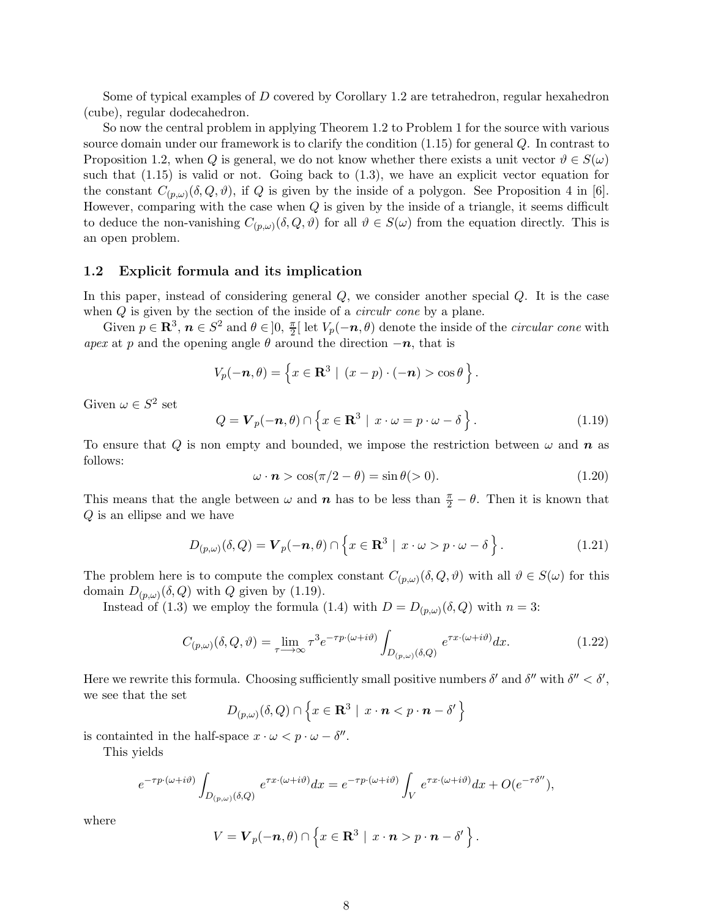Some of typical examples of D covered by Corollary 1.2 are tetrahedron, regular hexahedron (cube), regular dodecahedron.

So now the central problem in applying Theorem 1.2 to Problem 1 for the source with various source domain under our framework is to clarify the condition (1.15) for general Q. In contrast to Proposition 1.2, when Q is general, we do not know whether there exists a unit vector  $\vartheta \in S(\omega)$ such that  $(1.15)$  is valid or not. Going back to  $(1.3)$ , we have an explicit vector equation for the constant  $C_{(p,\omega)}(\delta,Q,\vartheta)$ , if Q is given by the inside of a polygon. See Proposition 4 in [6]. However, comparing with the case when  $Q$  is given by the inside of a triangle, it seems difficult to deduce the non-vanishing  $C_{(p,\omega)}(\delta,Q,\vartheta)$  for all  $\vartheta \in S(\omega)$  from the equation directly. This is an open problem.

### 1.2 Explicit formula and its implication

In this paper, instead of considering general Q, we consider another special Q. It is the case when  $Q$  is given by the section of the inside of a *circulr cone* by a plane.

Given  $p \in \mathbb{R}^3$ ,  $n \in S^2$  and  $\theta \in ]0, \frac{\pi}{2}$  $\frac{\pi}{2}$ [ let  $V_p(-n, \theta)$  denote the inside of the *circular cone* with apex at p and the opening angle  $\theta$  around the direction  $-n$ , that is

$$
V_p(-\boldsymbol{n},\theta) = \left\{ x \in \mathbf{R}^3 \mid (x-p) \cdot (-\boldsymbol{n}) > \cos \theta \right\}.
$$

Given  $\omega \in S^2$  set

$$
Q = \mathbf{V}_p(-\mathbf{n}, \theta) \cap \left\{ x \in \mathbf{R}^3 \mid x \cdot \omega = p \cdot \omega - \delta \right\}.
$$
 (1.19)

To ensure that Q is non empty and bounded, we impose the restriction between  $\omega$  and  $\boldsymbol{n}$  as follows:

$$
\omega \cdot \mathbf{n} > \cos(\pi/2 - \theta) = \sin \theta( > 0). \tag{1.20}
$$

This means that the angle between  $\omega$  and  $n$  has to be less than  $\frac{\pi}{2} - \theta$ . Then it is known that Q is an ellipse and we have

$$
D_{(p,\omega)}(\delta,Q) = \mathbf{V}_p(-n,\theta) \cap \left\{ x \in \mathbf{R}^3 \mid x \cdot \omega > p \cdot \omega - \delta \right\}.
$$
 (1.21)

The problem here is to compute the complex constant  $C_{(p,\omega)}(\delta, Q, \vartheta)$  with all  $\vartheta \in S(\omega)$  for this domain  $D_{(p,\omega)}(\delta, Q)$  with Q given by (1.19).

Instead of (1.3) we employ the formula (1.4) with  $D = D_{(p,\omega)}(\delta, Q)$  with  $n = 3$ :

$$
C_{(p,\omega)}(\delta,Q,\vartheta) = \lim_{\tau \to \infty} \tau^3 e^{-\tau p \cdot (\omega + i\vartheta)} \int_{D_{(p,\omega)}(\delta,Q)} e^{\tau x \cdot (\omega + i\vartheta)} dx.
$$
 (1.22)

Here we rewrite this formula. Choosing sufficiently small positive numbers  $\delta'$  and  $\delta''$  with  $\delta'' < \delta'$ , we see that the set

$$
D_{(p,\omega)}(\delta,Q) \cap \left\{x \in \mathbf{R}^3 \mid x \cdot \boldsymbol{n} < p \cdot \boldsymbol{n} - \delta' \right\}
$$

is containted in the half-space  $x \cdot \omega < p \cdot \omega - \delta''$ .

This yields

$$
e^{-\tau p\cdot(\omega+i\vartheta)}\int_{D_{(p,\omega)}(\delta,Q)}e^{\tau x\cdot(\omega+i\vartheta)}dx=e^{-\tau p\cdot(\omega+i\vartheta)}\int_{V}e^{\tau x\cdot(\omega+i\vartheta)}dx+O(e^{-\tau\delta''}),
$$

where

$$
V = \boldsymbol{V}_p(-\boldsymbol{n},\theta) \cap \left\{ x \in \mathbf{R}^3 \mid x \cdot \boldsymbol{n} > p \cdot \boldsymbol{n} - \delta' \right\}.
$$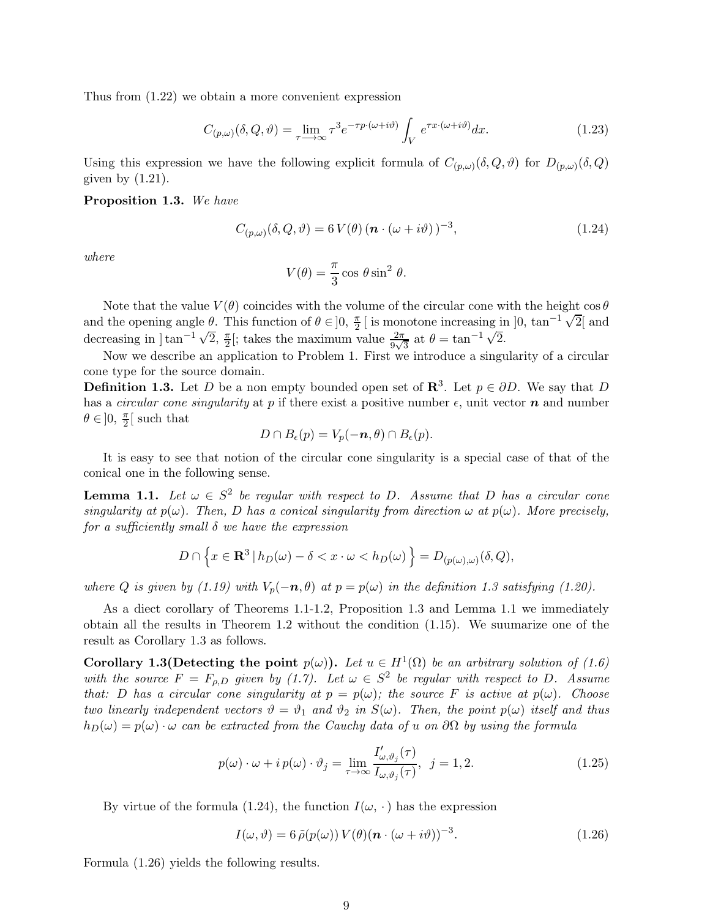Thus from (1.22) we obtain a more convenient expression

$$
C_{(p,\omega)}(\delta,Q,\vartheta) = \lim_{\tau \to \infty} \tau^3 e^{-\tau p \cdot (\omega + i\vartheta)} \int_V e^{\tau x \cdot (\omega + i\vartheta)} dx.
$$
 (1.23)

Using this expression we have the following explicit formula of  $C_{(p,\omega)}(\delta, Q, \vartheta)$  for  $D_{(p,\omega)}(\delta, Q)$ given by  $(1.21)$ .

#### Proposition 1.3. We have

$$
C_{(p,\omega)}(\delta,Q,\vartheta) = 6 V(\theta) \left( \boldsymbol{n} \cdot (\omega + i\vartheta) \right)^{-3},\tag{1.24}
$$

where

$$
V(\theta) = \frac{\pi}{3} \cos \theta \sin^2 \theta.
$$

Note that the value  $V(\theta)$  coincides with the volume of the circular cone with the height cos  $\theta$ and the opening angle  $\theta$ . This function of  $\theta \in ]0, \frac{\pi}{2}$  $\frac{\pi}{2}$  [ is monotone increasing in  $]0, \tan^{-1}\sqrt{2}$  and decreasing in  $\lim_{n \to \infty} \frac{1}{\sqrt{2}}$ ,  $\frac{\pi}{2}$  $\frac{\pi}{2}$ ; takes the maximum value  $\frac{2\pi}{9\sqrt{3}}$  at  $\theta = \tan^{-1}\sqrt{2}$ .

Now we describe an application to Problem 1. First we introduce a singularity of a circular cone type for the source domain.

**Definition 1.3.** Let D be a non empty bounded open set of  $\mathbb{R}^3$ . Let  $p \in \partial D$ . We say that D has a *circular cone singularity* at p if there exist a positive number  $\epsilon$ , unit vector **n** and number  $\theta \in ]0, \frac{\pi}{2}$  $\frac{\pi}{2}$  such that

$$
D \cap B_{\epsilon}(p) = V_p(-n, \theta) \cap B_{\epsilon}(p).
$$

It is easy to see that notion of the circular cone singularity is a special case of that of the conical one in the following sense.

**Lemma 1.1.** Let  $\omega \in S^2$  be regular with respect to D. Assume that D has a circular cone singularity at  $p(\omega)$ . Then, D has a conical singularity from direction  $\omega$  at  $p(\omega)$ . More precisely, for a sufficiently small  $\delta$  we have the expression

$$
D \cap \left\{ x \in \mathbf{R}^3 \, | \, h_D(\omega) - \delta < x \cdot \omega < h_D(\omega) \right\} = D_{(p(\omega),\omega)}(\delta, Q),
$$

where Q is given by (1.19) with  $V_p(-n, \theta)$  at  $p = p(\omega)$  in the definition 1.3 satisfying (1.20).

As a diect corollary of Theorems 1.1-1.2, Proposition 1.3 and Lemma 1.1 we immediately obtain all the results in Theorem 1.2 without the condition (1.15). We suumarize one of the result as Corollary 1.3 as follows.

Corollary 1.3(Detecting the point  $p(\omega)$ ). Let  $u \in H^1(\Omega)$  be an arbitrary solution of (1.6) with the source  $F = F_{\rho,D}$  given by (1.7). Let  $\omega \in S^2$  be regular with respect to D. Assume that: D has a circular cone singularity at  $p = p(\omega)$ ; the source F is active at  $p(\omega)$ . Choose two linearly independent vectors  $\vartheta = \vartheta_1$  and  $\vartheta_2$  in  $S(\omega)$ . Then, the point  $p(\omega)$  itself and thus  $h_D(\omega) = p(\omega) \cdot \omega$  can be extracted from the Cauchy data of u on  $\partial\Omega$  by using the formula

$$
p(\omega) \cdot \omega + i \, p(\omega) \cdot \vartheta_j = \lim_{\tau \to \infty} \frac{I'_{\omega, \vartheta_j}(\tau)}{I_{\omega, \vartheta_j}(\tau)}, \ \ j = 1, 2. \tag{1.25}
$$

By virtue of the formula (1.24), the function  $I(\omega, \cdot)$  has the expression

$$
I(\omega, \vartheta) = 6 \tilde{\rho}(p(\omega)) V(\theta) (n \cdot (\omega + i\vartheta))^{-3}.
$$
 (1.26)

Formula (1.26) yields the following results.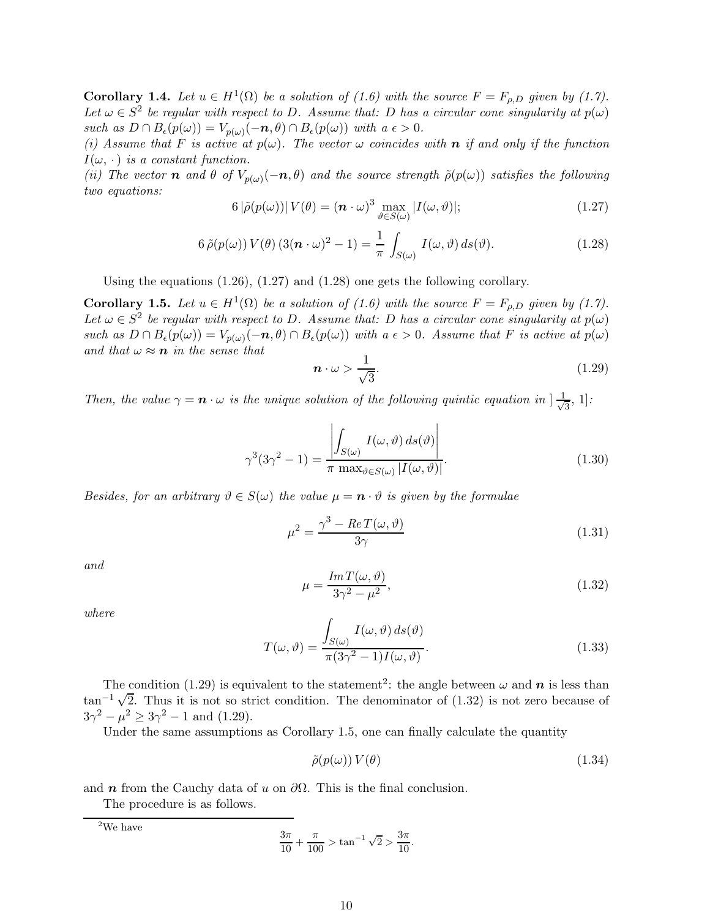**Corollary 1.4.** Let  $u \in H^1(\Omega)$  be a solution of (1.6) with the source  $F = F_{\rho,D}$  given by (1.7). Let  $\omega \in S^2$  be regular with respect to D. Assume that: D has a circular cone singularity at  $p(\omega)$ such as  $D \cap B_{\epsilon}(p(\omega)) = V_{p(\omega)}(-n, \theta) \cap B_{\epsilon}(p(\omega))$  with  $a \epsilon > 0$ .

(i) Assume that F is active at  $p(\omega)$ . The vector  $\omega$  coincides with **n** if and only if the function  $I(\omega, \cdot)$  is a constant function.

(ii) The vector **n** and  $\theta$  of  $V_{p(\omega)}(-n, \theta)$  and the source strength  $\tilde{\rho}(p(\omega))$  satisfies the following two equations:

$$
6|\tilde{\rho}(p(\omega))|V(\theta) = (n \cdot \omega)^3 \max_{\vartheta \in S(\omega)} |I(\omega, \vartheta)|; \tag{1.27}
$$

$$
6\,\tilde{\rho}(p(\omega))\,V(\theta)\,(3(n\cdot\omega)^2-1) = \frac{1}{\pi}\,\int_{S(\omega)}\,I(\omega,\vartheta)\,ds(\vartheta). \tag{1.28}
$$

Using the equations  $(1.26)$ ,  $(1.27)$  and  $(1.28)$  one gets the following corollary.

**Corollary 1.5.** Let  $u \in H^1(\Omega)$  be a solution of (1.6) with the source  $F = F_{\rho,D}$  given by (1.7). Let  $\omega \in S^2$  be regular with respect to D. Assume that: D has a circular cone singularity at  $p(\omega)$ such as  $D \cap B_{\epsilon}(p(\omega)) = V_{p(\omega)}(-n, \theta) \cap B_{\epsilon}(p(\omega))$  with  $a \epsilon > 0$ . Assume that F is active at  $p(\omega)$ and that  $\omega \approx n$  in the sense that

$$
n \cdot \omega > \frac{1}{\sqrt{3}}.\tag{1.29}
$$

Then, the value  $\gamma = \mathbf{n} \cdot \omega$  is the unique solution of the following quintic equation in  $\frac{1}{\sqrt{N}}$  $\frac{1}{3}$ , 1]:

$$
\gamma^3(3\gamma^2 - 1) = \frac{\left| \int_{S(\omega)} I(\omega, \vartheta) \, ds(\vartheta) \right|}{\pi \, \max_{\vartheta \in S(\omega)} |I(\omega, \vartheta)|}.
$$
\n(1.30)

Besides, for an arbitrary  $\vartheta \in S(\omega)$  the value  $\mu = \mathbf{n} \cdot \vartheta$  is given by the formulae

$$
\mu^2 = \frac{\gamma^3 - ReT(\omega, \vartheta)}{3\gamma} \tag{1.31}
$$

and

$$
\mu = \frac{Im T(\omega, \vartheta)}{3\gamma^2 - \mu^2},\tag{1.32}
$$

where

$$
T(\omega, \vartheta) = \frac{\int_{S(\omega)} I(\omega, \vartheta) ds(\vartheta)}{\pi (3\gamma^2 - 1)I(\omega, \vartheta)}.
$$
\n(1.33)

The condition (1.29) is equivalent to the statement<sup>2</sup>: the angle between  $\omega$  and  $n$  is less than  $\tan^{-1}\sqrt{2}$ . Thus it is not so strict condition. The denominator of (1.32) is not zero because of  $3\gamma^2 - \mu^2 \ge 3\gamma^2 - 1$  and (1.29).

Under the same assumptions as Corollary 1.5, one can finally calculate the quantity

$$
\tilde{\rho}(p(\omega)) V(\theta) \tag{1.34}
$$

and *n* from the Cauchy data of u on  $\partial\Omega$ . This is the final conclusion.

The procedure is as follows.

 $^2\mathrm{We}$  have

$$
\frac{3\pi}{10} + \frac{\pi}{100} > \tan^{-1}\sqrt{2} > \frac{3\pi}{10}.
$$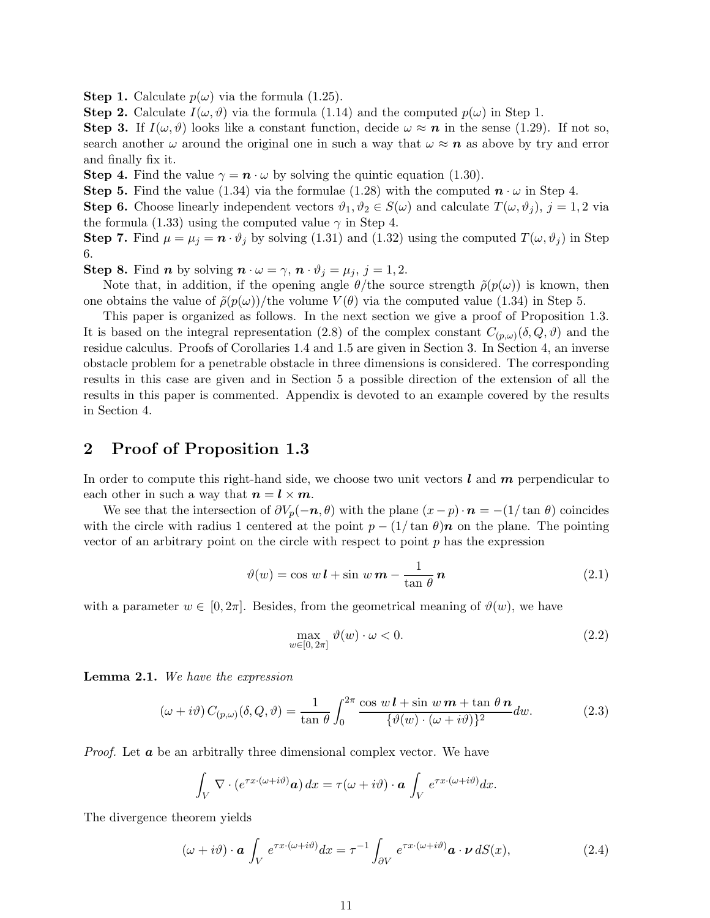**Step 1.** Calculate  $p(\omega)$  via the formula (1.25).

**Step 2.** Calculate  $I(\omega, \vartheta)$  via the formula (1.14) and the computed  $p(\omega)$  in Step 1.

**Step 3.** If  $I(\omega, \vartheta)$  looks like a constant function, decide  $\omega \approx n$  in the sense (1.29). If not so, search another  $\omega$  around the original one in such a way that  $\omega \approx n$  as above by try and error and finally fix it.

**Step 4.** Find the value  $\gamma = \mathbf{n} \cdot \omega$  by solving the quintic equation (1.30).

Step 5. Find the value (1.34) via the formulae (1.28) with the computed  $n \cdot \omega$  in Step 4.

**Step 6.** Choose linearly independent vectors  $\vartheta_1, \vartheta_2 \in S(\omega)$  and calculate  $T(\omega, \vartheta_i)$ ,  $j = 1, 2$  via the formula (1.33) using the computed value  $\gamma$  in Step 4.

**Step 7.** Find  $\mu = \mu_j = \mathbf{n} \cdot \vartheta_j$  by solving (1.31) and (1.32) using the computed  $T(\omega, \vartheta_j)$  in Step 6.

**Step 8.** Find *n* by solving  $\mathbf{n} \cdot \omega = \gamma$ ,  $\mathbf{n} \cdot \vartheta_i = \mu_i$ ,  $j = 1, 2$ .

Note that, in addition, if the opening angle  $\theta$ /the source strength  $\tilde{\rho}(p(\omega))$  is known, then one obtains the value of  $\tilde{\rho}(p(\omega))/$ the volume  $V(\theta)$  via the computed value (1.34) in Step 5.

This paper is organized as follows. In the next section we give a proof of Proposition 1.3. It is based on the integral representation (2.8) of the complex constant  $C_{(p,\omega)}(\delta, Q, \vartheta)$  and the residue calculus. Proofs of Corollaries 1.4 and 1.5 are given in Section 3. In Section 4, an inverse obstacle problem for a penetrable obstacle in three dimensions is considered. The corresponding results in this case are given and in Section 5 a possible direction of the extension of all the results in this paper is commented. Appendix is devoted to an example covered by the results in Section 4.

### 2 Proof of Proposition 1.3

In order to compute this right-hand side, we choose two unit vectors  $\ell$  and  $\boldsymbol{m}$  perpendicular to each other in such a way that  $n = l \times m$ .

We see that the intersection of  $\partial V_p(-n, \theta)$  with the plane  $(x-p) \cdot n = -(1/\tan \theta)$  coincides with the circle with radius 1 centered at the point  $p - (1/\tan \theta)\mathbf{n}$  on the plane. The pointing vector of an arbitrary point on the circle with respect to point  $p$  has the expression

$$
\vartheta(w) = \cos w \, \mathbf{l} + \sin w \, \mathbf{m} - \frac{1}{\tan \theta} \, \mathbf{n} \tag{2.1}
$$

with a parameter  $w \in [0, 2\pi]$ . Besides, from the geometrical meaning of  $\vartheta(w)$ , we have

$$
\max_{w \in [0, 2\pi]} \vartheta(w) \cdot \omega < 0. \tag{2.2}
$$

Lemma 2.1. We have the expression

$$
(\omega + i\vartheta) C_{(p,\omega)}(\delta, Q, \vartheta) = \frac{1}{\tan \theta} \int_0^{2\pi} \frac{\cos w \, l + \sin w \, m + \tan \theta \, n}{\{\vartheta(w) \cdot (\omega + i\vartheta)\}^2} dw. \tag{2.3}
$$

*Proof.* Let  $\boldsymbol{a}$  be an arbitrally three dimensional complex vector. We have

$$
\int_V \nabla \cdot (e^{\tau x \cdot (\omega + i\vartheta)} \mathbf{a}) dx = \tau(\omega + i\vartheta) \cdot \mathbf{a} \int_V e^{\tau x \cdot (\omega + i\vartheta)} dx.
$$

The divergence theorem yields

$$
(\omega + i\vartheta) \cdot \mathbf{a} \int_{V} e^{\tau x \cdot (\omega + i\vartheta)} dx = \tau^{-1} \int_{\partial V} e^{\tau x \cdot (\omega + i\vartheta)} \mathbf{a} \cdot \mathbf{\nu} dS(x), \tag{2.4}
$$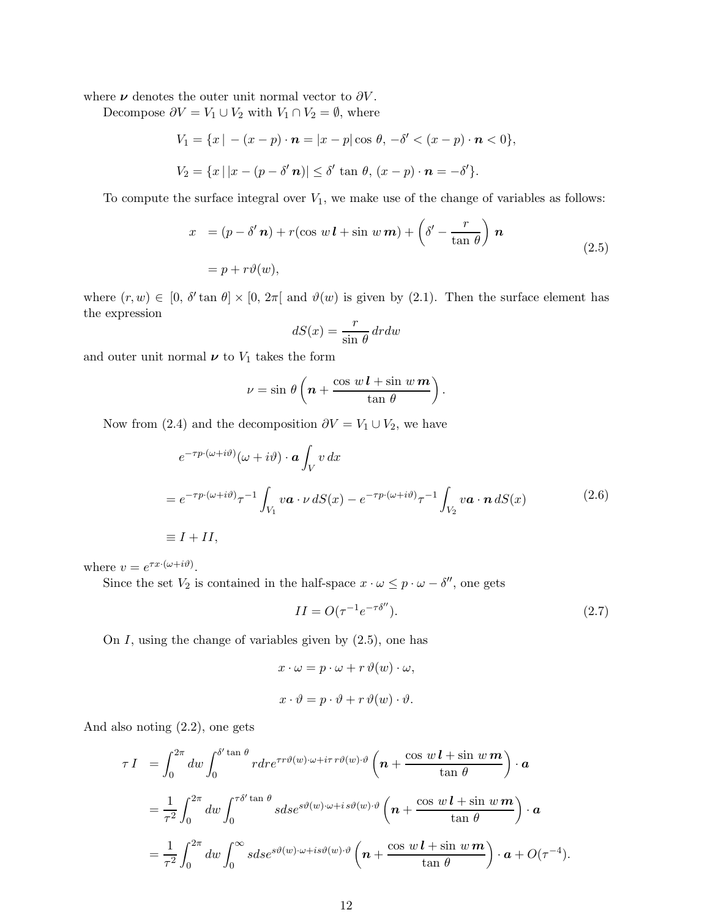where  $\nu$  denotes the outer unit normal vector to  $\partial V$ .

Decompose  $\partial V = V_1 \cup V_2$  with  $V_1 \cap V_2 = \emptyset$ , where

$$
V_1 = \{x \mid -(x-p) \cdot \mathbf{n} = |x-p|\cos\theta, -\delta' < (x-p) \cdot \mathbf{n} < 0\},
$$
\n
$$
V_2 = \{x \mid |x-(p-\delta'\mathbf{n})| \le \delta'\tan\theta, (x-p) \cdot \mathbf{n} = -\delta'\}.
$$

To compute the surface integral over  $V_1$ , we make use of the change of variables as follows:

$$
x = (p - \delta' \mathbf{n}) + r(\cos w \mathbf{l} + \sin w \mathbf{m}) + \left(\delta' - \frac{r}{\tan \theta}\right) \mathbf{n}
$$
  
=  $p + r\vartheta(w)$ , (2.5)

where  $(r, w) \in [0, \delta' \tan \theta] \times [0, 2\pi]$  and  $\vartheta(w)$  is given by (2.1). Then the surface element has the expression

$$
dS(x) = \frac{r}{\sin \theta} dr dw
$$

and outer unit normal  $\nu$  to  $V_1$  takes the form

$$
\nu = \sin \theta \left( n + \frac{\cos w \, l + \sin w \, m}{\tan \theta} \right).
$$

Now from (2.4) and the decomposition  $\partial V = V_1 \cup V_2$ , we have

$$
e^{-\tau p \cdot (\omega + i\vartheta)}(\omega + i\vartheta) \cdot \mathbf{a} \int_{V} v \, dx
$$
  
=  $e^{-\tau p \cdot (\omega + i\vartheta)} \tau^{-1} \int_{V_1} v \mathbf{a} \cdot \nu \, dS(x) - e^{-\tau p \cdot (\omega + i\vartheta)} \tau^{-1} \int_{V_2} v \mathbf{a} \cdot \mathbf{n} \, dS(x)$  (2.6)  

$$
\equiv I + II,
$$

where  $v = e^{\tau x \cdot (\omega + i\vartheta)}$ .

Since the set  $V_2$  is contained in the half-space  $x \cdot \omega \leq p \cdot \omega - \delta''$ , one gets

$$
II = O(\tau^{-1}e^{-\tau \delta''}).
$$
\n
$$
(2.7)
$$

On  $I$ , using the change of variables given by  $(2.5)$ , one has

$$
x \cdot \omega = p \cdot \omega + r \vartheta(w) \cdot \omega,
$$
  

$$
x \cdot \vartheta = p \cdot \vartheta + r \vartheta(w) \cdot \vartheta.
$$

And also noting (2.2), one gets

$$
\tau I = \int_0^{2\pi} dw \int_0^{\delta' \tan \theta} r dr e^{\tau r \vartheta(w) \cdot \omega + i\tau r \vartheta(w) \cdot \vartheta} \left( n + \frac{\cos w \, l + \sin w \, m}{\tan \theta} \right) \cdot \mathbf{a}
$$
  
\n
$$
= \frac{1}{\tau^2} \int_0^{2\pi} dw \int_0^{\tau \delta' \tan \theta} s ds e^{s \vartheta(w) \cdot \omega + i s \vartheta(w) \cdot \vartheta} \left( n + \frac{\cos w \, l + \sin w \, m}{\tan \theta} \right) \cdot \mathbf{a}
$$
  
\n
$$
= \frac{1}{\tau^2} \int_0^{2\pi} dw \int_0^{\infty} s ds e^{s \vartheta(w) \cdot \omega + i s \vartheta(w) \cdot \vartheta} \left( n + \frac{\cos w \, l + \sin w \, m}{\tan \theta} \right) \cdot \mathbf{a} + O(\tau^{-4}).
$$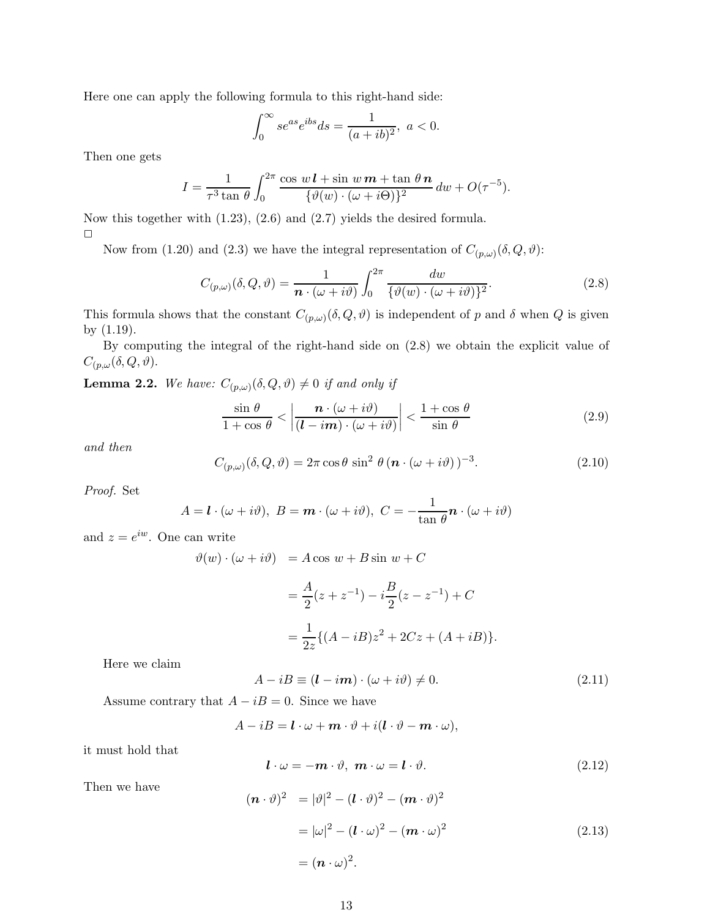Here one can apply the following formula to this right-hand side:

$$
\int_0^\infty s e^{as} e^{ibs} ds = \frac{1}{(a+ib)^2}, \ a < 0.
$$

Then one gets

$$
I = \frac{1}{\tau^3 \tan \theta} \int_0^{2\pi} \frac{\cos w \, \mathbf{l} + \sin w \, \mathbf{m} + \tan \theta \, \mathbf{n}}{\{\vartheta(w) \cdot (\omega + i\Theta)\}^2} \, dw + O(\tau^{-5}).
$$

Now this together with (1.23), (2.6) and (2.7) yields the desired formula.  $\Box$ 

Now from (1.20) and (2.3) we have the integral representation of  $C_{(p,\omega)}(\delta,Q,\vartheta)$ :

$$
C_{(p,\omega)}(\delta,Q,\vartheta) = \frac{1}{n \cdot (\omega + i\vartheta)} \int_0^{2\pi} \frac{dw}{\{\vartheta(w) \cdot (\omega + i\vartheta)\}^2}.
$$
 (2.8)

This formula shows that the constant  $C_{(p,\omega)}(\delta,Q,\vartheta)$  is independent of p and  $\delta$  when Q is given by (1.19).

By computing the integral of the right-hand side on (2.8) we obtain the explicit value of  $C_{(p,\omega}(\delta,Q,\vartheta).$ 

**Lemma 2.2.** We have:  $C_{(p,\omega)}(\delta,Q,\vartheta) \neq 0$  if and only if

$$
\frac{\sin \theta}{1 + \cos \theta} < \left| \frac{\boldsymbol{n} \cdot (\omega + i\vartheta)}{(\boldsymbol{l} - i\boldsymbol{m}) \cdot (\omega + i\vartheta)} \right| < \frac{1 + \cos \theta}{\sin \theta} \tag{2.9}
$$

and then

$$
C_{(p,\omega)}(\delta,Q,\vartheta) = 2\pi \cos\theta \sin^2\theta \left(\mathbf{n} \cdot (\omega + i\vartheta)\right)^{-3}.
$$
 (2.10)

Proof. Set

$$
A = \mathbf{l} \cdot (\omega + i\vartheta), \ B = \mathbf{m} \cdot (\omega + i\vartheta), \ C = -\frac{1}{\tan \theta} \mathbf{n} \cdot (\omega + i\vartheta)
$$

and  $z = e^{iw}$ . One can write

$$
\vartheta(w) \cdot (\omega + i\vartheta) = A \cos w + B \sin w + C
$$
  
=  $\frac{A}{2}(z + z^{-1}) - i\frac{B}{2}(z - z^{-1}) + C$   
=  $\frac{1}{2z} \{ (A - iB)z^2 + 2Cz + (A + iB) \}.$ 

Here we claim

$$
A - iB \equiv (\mathbf{l} - i\mathbf{m}) \cdot (\omega + i\vartheta) \neq 0. \tag{2.11}
$$

Assume contrary that  $A - iB = 0$ . Since we have

 $A - iB = \mathbf{l} \cdot \omega + \mathbf{m} \cdot \vartheta + i(\mathbf{l} \cdot \vartheta - \mathbf{m} \cdot \omega),$ 

it must hold that

$$
\mathbf{l} \cdot \omega = -\mathbf{m} \cdot \vartheta, \ \mathbf{m} \cdot \omega = \mathbf{l} \cdot \vartheta. \tag{2.12}
$$

Then we have

$$
(\boldsymbol{n} \cdot \vartheta)^2 = |\vartheta|^2 - (\boldsymbol{l} \cdot \vartheta)^2 - (\boldsymbol{m} \cdot \vartheta)^2
$$
  

$$
= |\omega|^2 - (\boldsymbol{l} \cdot \omega)^2 - (\boldsymbol{m} \cdot \omega)^2
$$
  

$$
= (\boldsymbol{n} \cdot \omega)^2.
$$
 (2.13)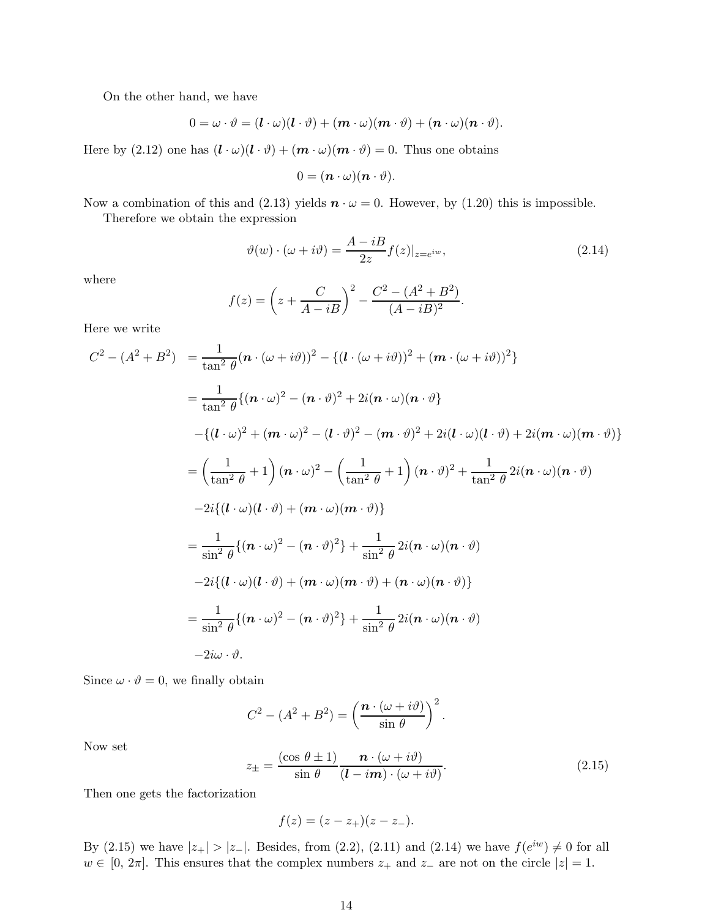On the other hand, we have

$$
0 = \omega \cdot \vartheta = (\boldsymbol{l} \cdot \omega)(\boldsymbol{l} \cdot \vartheta) + (\boldsymbol{m} \cdot \omega)(\boldsymbol{m} \cdot \vartheta) + (\boldsymbol{n} \cdot \omega)(\boldsymbol{n} \cdot \vartheta).
$$

Here by (2.12) one has  $(l \cdot \omega)(l \cdot \vartheta) + (m \cdot \omega)(m \cdot \vartheta) = 0$ . Thus one obtains

$$
0=(\boldsymbol{n}\cdot\omega)(\boldsymbol{n}\cdot\vartheta).
$$

Now a combination of this and (2.13) yields  $\mathbf{n} \cdot \omega = 0$ . However, by (1.20) this is impossible.

Therefore we obtain the expression

$$
\vartheta(w) \cdot (\omega + i\vartheta) = \frac{A - iB}{2z} f(z)|_{z = e^{iw}},\tag{2.14}
$$

where

$$
f(z) = \left(z + \frac{C}{A - iB}\right)^2 - \frac{C^2 - (A^2 + B^2)}{(A - iB)^2}.
$$

Here we write

$$
C^{2} - (A^{2} + B^{2}) = \frac{1}{\tan^{2} \theta} (n \cdot (\omega + i\vartheta))^{2} - \{ (l \cdot (\omega + i\vartheta))^{2} + (m \cdot (\omega + i\vartheta))^{2} \}
$$
  
\n
$$
= \frac{1}{\tan^{2} \theta} \{ (n \cdot \omega)^{2} - (n \cdot \vartheta)^{2} + 2i(n \cdot \omega)(n \cdot \vartheta) \}
$$
  
\n
$$
- \{ (l \cdot \omega)^{2} + (m \cdot \omega)^{2} - (l \cdot \vartheta)^{2} - (m \cdot \vartheta)^{2} + 2i(l \cdot \omega)(l \cdot \vartheta) + 2i(m \cdot \omega)(m \cdot \vartheta) \}
$$
  
\n
$$
= \left( \frac{1}{\tan^{2} \theta} + 1 \right) (n \cdot \omega)^{2} - \left( \frac{1}{\tan^{2} \theta} + 1 \right) (n \cdot \vartheta)^{2} + \frac{1}{\tan^{2} \theta} 2i(n \cdot \omega)(n \cdot \vartheta)
$$
  
\n
$$
- 2i \{ (l \cdot \omega)(l \cdot \vartheta) + (m \cdot \omega)(m \cdot \vartheta) \}
$$
  
\n
$$
= \frac{1}{\sin^{2} \theta} \{ (n \cdot \omega)^{2} - (n \cdot \vartheta)^{2} \} + \frac{1}{\sin^{2} \theta} 2i(n \cdot \omega)(n \cdot \vartheta)
$$
  
\n
$$
- 2i \{ (l \cdot \omega)(l \cdot \vartheta) + (m \cdot \omega)(m \cdot \vartheta) + (n \cdot \omega)(n \cdot \vartheta) \}
$$
  
\n
$$
= \frac{1}{\sin^{2} \theta} \{ (n \cdot \omega)^{2} - (n \cdot \vartheta)^{2} \} + \frac{1}{\sin^{2} \theta} 2i(n \cdot \omega)(n \cdot \vartheta)
$$
  
\n
$$
- 2i\omega \cdot \vartheta.
$$

Since  $\omega \cdot \vartheta = 0$ , we finally obtain

$$
C^{2} - (A^{2} + B^{2}) = \left(\frac{\boldsymbol{n} \cdot (\omega + i\vartheta)}{\sin \theta}\right)^{2}.
$$

Now set

$$
z_{\pm} = \frac{(\cos \theta \pm 1)}{\sin \theta} \frac{\boldsymbol{n} \cdot (\omega + i\vartheta)}{(\boldsymbol{l} - i\boldsymbol{m}) \cdot (\omega + i\vartheta)}.
$$
 (2.15)

Then one gets the factorization

$$
f(z) = (z - z_{+})(z - z_{-}).
$$

By (2.15) we have  $|z_{+}| > |z_{-}|$ . Besides, from (2.2), (2.11) and (2.14) we have  $f(e^{iw}) \neq 0$  for all  $w \in [0, 2\pi]$ . This ensures that the complex numbers  $z_+$  and  $z_-$  are not on the circle  $|z| = 1$ .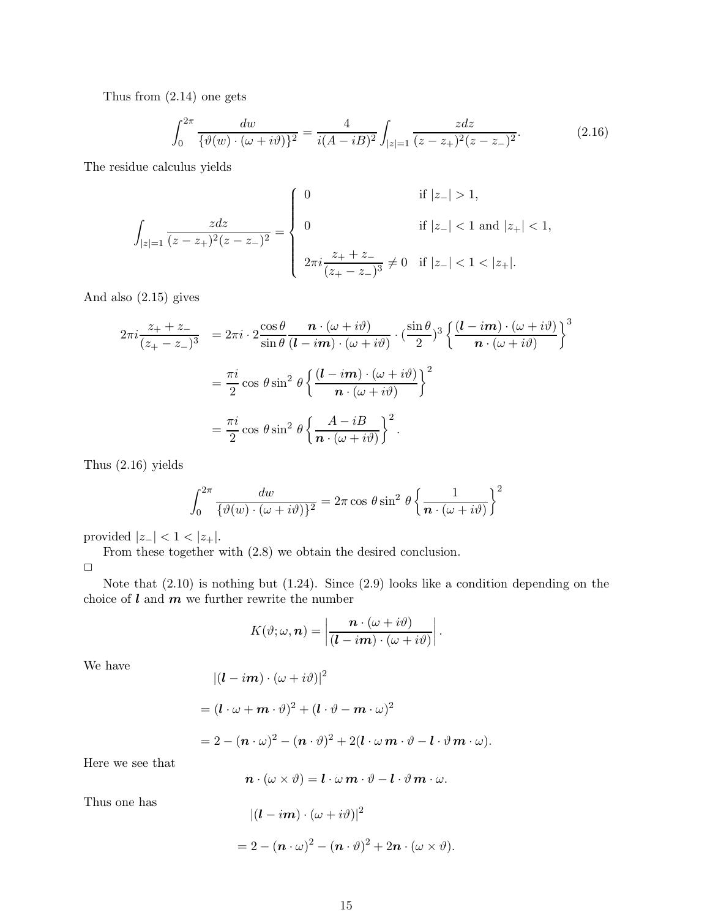Thus from (2.14) one gets

$$
\int_0^{2\pi} \frac{dw}{\{\vartheta(w) \cdot (\omega + i\vartheta)\}^2} = \frac{4}{i(A - iB)^2} \int_{|z| = 1} \frac{zdz}{(z - z_+)^2 (z - z_-)^2}.
$$
 (2.16)

The residue calculus yields

$$
\int_{|z|=1} \frac{zdz}{(z-z_+)^2(z-z_-)^2} = \begin{cases}\n0 & \text{if } |z_-| > 1, \\
0 & \text{if } |z_-| < 1 \text{ and } |z_+| < 1, \\
2\pi i \frac{z_+ + z_-}{(z_+ - z_-)^3} \neq 0 & \text{if } |z_-| < 1 < |z_+|.\n\end{cases}
$$

And also (2.15) gives

$$
2\pi i \frac{z_+ + z_-}{(z_+ - z_-)^3} = 2\pi i \cdot 2 \frac{\cos \theta}{\sin \theta} \frac{\mathbf{n} \cdot (\omega + i\vartheta)}{(\mathbf{l} - i\mathbf{m}) \cdot (\omega + i\vartheta)} \cdot \left(\frac{\sin \theta}{2}\right)^3 \left\{ \frac{(\mathbf{l} - i\mathbf{m}) \cdot (\omega + i\vartheta)}{\mathbf{n} \cdot (\omega + i\vartheta)} \right\}^3
$$

$$
= \frac{\pi i}{2} \cos \theta \sin^2 \theta \left\{ \frac{(\mathbf{l} - i\mathbf{m}) \cdot (\omega + i\vartheta)}{\mathbf{n} \cdot (\omega + i\vartheta)} \right\}^2
$$

$$
= \frac{\pi i}{2} \cos \theta \sin^2 \theta \left\{ \frac{A - iB}{\mathbf{n} \cdot (\omega + i\vartheta)} \right\}^2.
$$

Thus (2.16) yields

$$
\int_0^{2\pi} \frac{dw}{\{\vartheta(w) \cdot (\omega + i\vartheta)\}^2} = 2\pi \cos \theta \sin^2 \theta \left\{ \frac{1}{n \cdot (\omega + i\vartheta)} \right\}^2
$$

provided  $|z_-| < 1 < |z_+|$ .

From these together with (2.8) we obtain the desired conclusion.  $\Box$ 

Note that (2.10) is nothing but (1.24). Since (2.9) looks like a condition depending on the choice of  $l$  and  $m$  we further rewrite the number

$$
K(\vartheta;\omega,\boldsymbol{n})=\left|\frac{\boldsymbol{n}\cdot(\omega+i\vartheta)}{(\boldsymbol{l}-i\boldsymbol{m})\cdot(\omega+i\vartheta)}\right|.
$$

We have

$$
|(\bm{l}-i\bm{m})\cdot(\omega+i\vartheta)|^2
$$

$$
= (\bm{l}\cdot\omega+\bm{m}\cdot\vartheta)^2 + (\bm{l}\cdot\vartheta-\bm{m}\cdot\omega)^2
$$

$$
=2-(\boldsymbol{n}\cdot\omega)^2-(\boldsymbol{n}\cdot\vartheta)^2+2(\boldsymbol{l}\cdot\omega\,\boldsymbol{m}\cdot\vartheta-\boldsymbol{l}\cdot\vartheta\,\boldsymbol{m}\cdot\omega).
$$

Here we see that

$$
\boldsymbol{n}\cdot(\omega\times\vartheta)=\boldsymbol{l}\cdot\omega\,\boldsymbol{m}\cdot\vartheta-\boldsymbol{l}\cdot\vartheta\,\boldsymbol{m}\cdot\omega.
$$

Thus one has

$$
|(l - im) \cdot (\omega + i\vartheta)|^2
$$
  
= 2 - (n \cdot \omega)^2 - (n \cdot \vartheta)^2 + 2n \cdot (\omega \times \vartheta).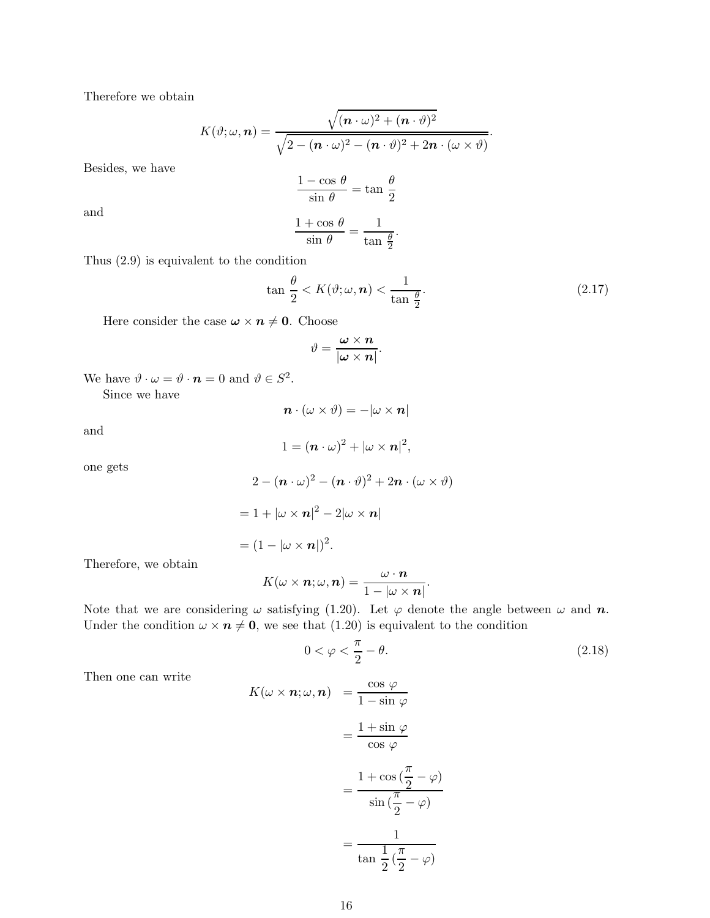Therefore we obtain

$$
K(\vartheta;\omega,\boldsymbol{n})=\frac{\sqrt{(\boldsymbol{n}\cdot\omega)^2+(\boldsymbol{n}\cdot\vartheta)^2}}{\sqrt{2-(\boldsymbol{n}\cdot\omega)^2-(\boldsymbol{n}\cdot\vartheta)^2+2\boldsymbol{n}\cdot(\omega\times\vartheta)}}.
$$

Besides, we have

$$
\frac{1-\cos\,\theta}{\sin\,\theta}=\tan\,\frac{\theta}{2}
$$

and

$$
\frac{1+\cos\,\theta}{\sin\,\theta} = \frac{1}{\tan\,\frac{\theta}{2}}
$$

.

Thus (2.9) is equivalent to the condition

$$
\tan\frac{\theta}{2} < K(\vartheta; \omega, \mathbf{n}) < \frac{1}{\tan\frac{\theta}{2}}.\tag{2.17}
$$

Here consider the case  $\boldsymbol{\omega} \times \boldsymbol{n} \neq \boldsymbol{0}$ . Choose

$$
\vartheta = \frac{\boldsymbol{\omega} \times \boldsymbol{n}}{|\boldsymbol{\omega} \times \boldsymbol{n}|}.
$$

We have  $\vartheta \cdot \omega = \vartheta \cdot \mathbf{n} = 0$  and  $\vartheta \in S^2$ .

Since we have

 $\mathbf{n} \cdot (\omega \times \vartheta) = -|\omega \times \mathbf{n}|$ 

and

$$
1=(\boldsymbol{n}\cdot\omega)^2+|\omega\times\boldsymbol{n}|^2,
$$

one gets

$$
2 - (n \cdot \omega)^2 - (n \cdot \vartheta)^2 + 2n \cdot (\omega \times \vartheta)
$$
  
= 1 +  $|\omega \times n|^2 - 2|\omega \times n|$   
=  $(1 - |\omega \times n|)^2$ .

Therefore, we obtain

$$
K(\omega \times \boldsymbol{n}; \omega, \boldsymbol{n}) = \frac{\omega \cdot \boldsymbol{n}}{1 - |\omega \times \boldsymbol{n}|}.
$$

Note that we are considering  $\omega$  satisfying (1.20). Let  $\varphi$  denote the angle between  $\omega$  and  $\boldsymbol{n}$ . Under the condition  $\omega \times n \neq 0$ , we see that (1.20) is equivalent to the condition

$$
0 < \varphi < \frac{\pi}{2} - \theta. \tag{2.18}
$$

Then one can write

$$
K(\omega \times n; \omega, n) = \frac{\cos \varphi}{1 - \sin \varphi}
$$
  
=  $\frac{1 + \sin \varphi}{\cos \varphi}$   
=  $\frac{1 + \cos(\frac{\pi}{2} - \varphi)}{\sin(\frac{\pi}{2} - \varphi)}$   
=  $\frac{1}{\tan \frac{1}{2}(\frac{\pi}{2} - \varphi)}$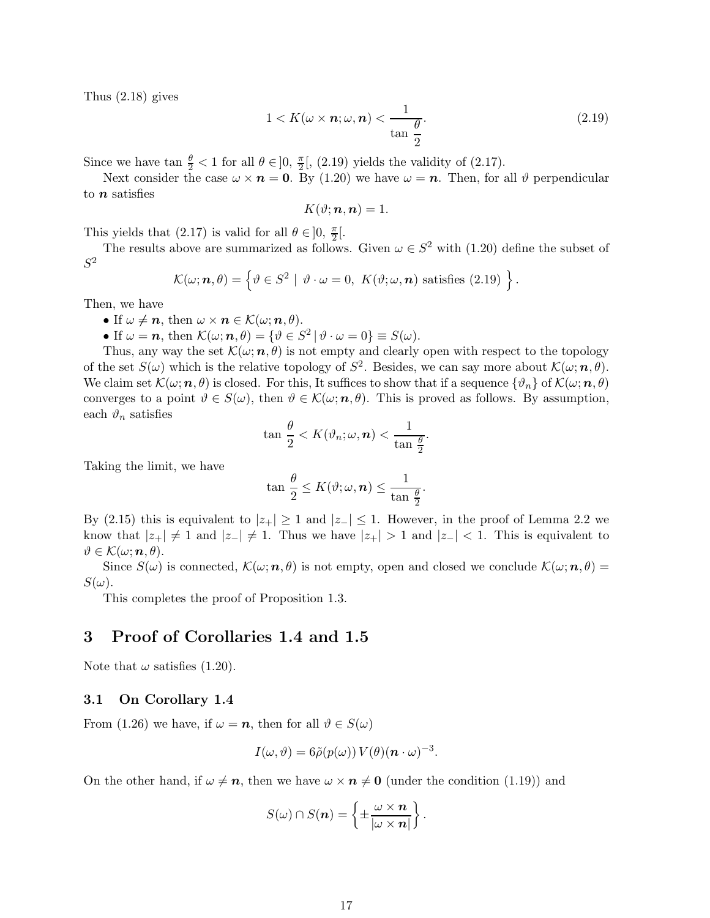Thus (2.18) gives

$$
1 < K(\omega \times \boldsymbol{n}; \omega, \boldsymbol{n}) < \frac{1}{\tan \frac{\theta}{2}}.\tag{2.19}
$$

Since we have  $\tan \frac{\theta}{2} < 1$  for all  $\theta \in ]0, \frac{\pi}{2}$  $\frac{\pi}{2}$ , (2.19) yields the validity of (2.17).

Next consider the case  $\omega \times n = 0$ . By (1.20) we have  $\omega = n$ . Then, for all  $\vartheta$  perpendicular to  $n$  satisfies

$$
K(\vartheta; \boldsymbol{n}, \boldsymbol{n}) = 1.
$$

This yields that (2.17) is valid for all  $\theta \in ]0, \frac{\pi}{2} [$ .

The results above are summarized as follows. Given  $\omega \in S^2$  with (1.20) define the subset of  $S^2$ 

$$
\mathcal{K}(\omega;\boldsymbol{n},\theta)=\left\{\vartheta\in S^2\mid \vartheta\cdot\omega=0,\ K(\vartheta;\omega,\boldsymbol{n})\text{ satisfies (2.19) }\right\}.
$$

Then, we have

• If  $\omega \neq n$ , then  $\omega \times n \in \mathcal{K}(\omega; n, \theta)$ .

• If  $\omega = n$ , then  $\mathcal{K}(\omega; n, \theta) = {\theta \in S^2 | \theta \cdot \omega = 0} \equiv S(\omega)$ .

Thus, any way the set  $\mathcal{K}(\omega;\mathbf{n},\theta)$  is not empty and clearly open with respect to the topology of the set  $S(\omega)$  which is the relative topology of  $S^2$ . Besides, we can say more about  $\mathcal{K}(\omega; n, \theta)$ . We claim set  $\mathcal{K}(\omega;\mathbf{n},\theta)$  is closed. For this, It suffices to show that if a sequence  $\{\vartheta_n\}$  of  $\mathcal{K}(\omega;\mathbf{n},\theta)$ converges to a point  $\vartheta \in S(\omega)$ , then  $\vartheta \in \mathcal{K}(\omega; n, \theta)$ . This is proved as follows. By assumption, each  $\vartheta_n$  satisfies

$$
\tan \frac{\theta}{2} < K(\vartheta_n; \omega, \mathbf{n}) < \frac{1}{\tan \frac{\theta}{2}}.
$$

Taking the limit, we have

$$
\tan \frac{\theta}{2} \leq K(\vartheta; \omega, \boldsymbol{n}) \leq \frac{1}{\tan \frac{\theta}{2}}.
$$

By (2.15) this is equivalent to  $|z_+| \geq 1$  and  $|z_-| \leq 1$ . However, in the proof of Lemma 2.2 we know that  $|z_+| \neq 1$  and  $|z_-| \neq 1$ . Thus we have  $|z_+| > 1$  and  $|z_-| < 1$ . This is equivalent to  $\vartheta \in \mathcal{K}(\omega; n, \theta).$ 

Since  $S(\omega)$  is connected,  $\mathcal{K}(\omega;\mathbf{n},\theta)$  is not empty, open and closed we conclude  $\mathcal{K}(\omega;\mathbf{n},\theta)$  =  $S(\omega)$ .

This completes the proof of Proposition 1.3.

### 3 Proof of Corollaries 1.4 and 1.5

Note that  $\omega$  satisfies (1.20).

### 3.1 On Corollary 1.4

From (1.26) we have, if  $\omega = n$ , then for all  $\vartheta \in S(\omega)$ 

$$
I(\omega,\vartheta)=6\tilde{\rho}(p(\omega))\,V(\theta)(\mathbf{n}\cdot\omega)^{-3}.
$$

On the other hand, if  $\omega \neq n$ , then we have  $\omega \times n \neq 0$  (under the condition (1.19)) and

$$
S(\omega) \cap S(n) = \left\{ \pm \frac{\omega \times n}{|\omega \times n|} \right\}.
$$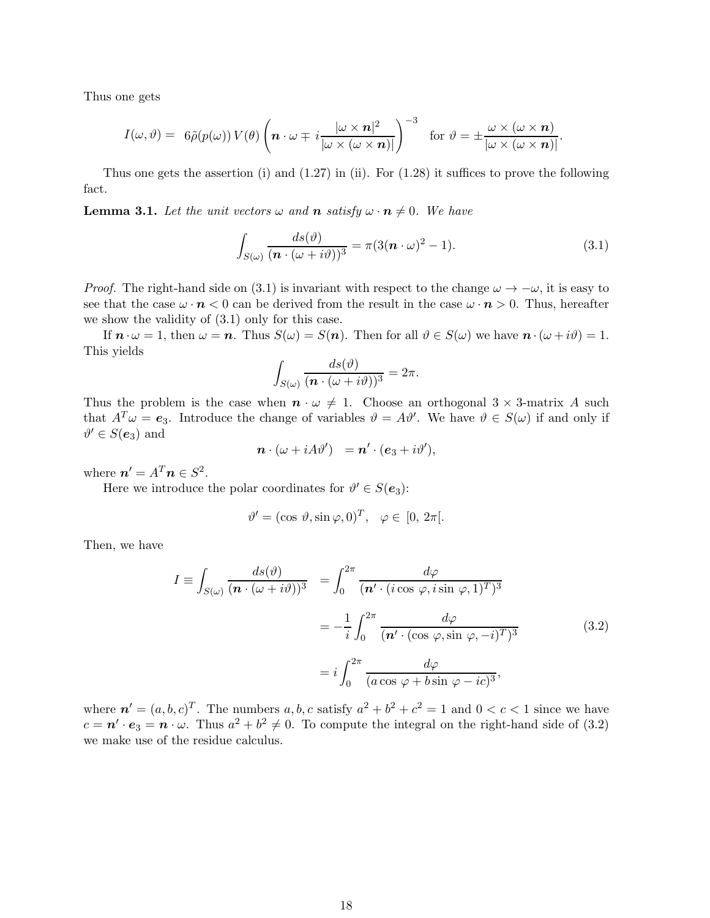Thus one gets

$$
I(\omega,\vartheta) = \ 6\tilde{\rho}(p(\omega))\,V(\theta)\left(\boldsymbol{n}\cdot\omega \mp i\frac{|\omega \times \boldsymbol{n}|^2}{|\omega \times (\omega \times \boldsymbol{n})|}\right)^{-3}\ \ \, \text{for}\,\,\vartheta = \pm \frac{\omega \times (\omega \times \boldsymbol{n})}{|\omega \times (\omega \times \boldsymbol{n})|}.
$$

Thus one gets the assertion (i) and  $(1.27)$  in (ii). For  $(1.28)$  it suffices to prove the following fact.

**Lemma 3.1.** Let the unit vectors  $\omega$  and **n** satisfy  $\omega \cdot \mathbf{n} \neq 0$ . We have

$$
\int_{S(\omega)} \frac{ds(\vartheta)}{(n \cdot (\omega + i\vartheta))^3} = \pi (3(n \cdot \omega)^2 - 1).
$$
\n(3.1)

*Proof.* The right-hand side on (3.1) is invariant with respect to the change  $\omega \to -\omega$ , it is easy to see that the case  $\omega \cdot \mathbf{n} < 0$  can be derived from the result in the case  $\omega \cdot \mathbf{n} > 0$ . Thus, hereafter we show the validity of (3.1) only for this case.

If  $\mathbf{n} \cdot \omega = 1$ , then  $\omega = \mathbf{n}$ . Thus  $S(\omega) = S(\mathbf{n})$ . Then for all  $\vartheta \in S(\omega)$  we have  $\mathbf{n} \cdot (\omega + i\vartheta) = 1$ . This yields

$$
\int_{S(\omega)} \frac{ds(\vartheta)}{(n \cdot (\omega + i\vartheta))^3} = 2\pi.
$$

Thus the problem is the case when  $\mathbf{n} \cdot \omega \neq 1$ . Choose an orthogonal  $3 \times 3$ -matrix A such that  $A^T \omega = e_3$ . Introduce the change of variables  $\vartheta = A \vartheta'$ . We have  $\vartheta \in S(\omega)$  if and only if  $\vartheta' \in S(e_3)$  and

$$
\boldsymbol{n}\cdot(\omega+i A\vartheta')\ \ =\boldsymbol{n}'\cdot(\boldsymbol{e}_3+i\vartheta'),
$$

where  $n' = A^T n \in S^2$ .

Here we introduce the polar coordinates for  $\vartheta' \in S(e_3)$ :

$$
\vartheta' = (\cos \vartheta, \sin \varphi, 0)^T, \quad \varphi \in [0, 2\pi[.
$$

Then, we have

$$
I = \int_{S(\omega)} \frac{ds(\vartheta)}{(\boldsymbol{n} \cdot (\omega + i\vartheta))^3} = \int_0^{2\pi} \frac{d\varphi}{(\boldsymbol{n}' \cdot (i\cos\varphi, i\sin\varphi, 1)^T)^3}
$$

$$
= -\frac{1}{i} \int_0^{2\pi} \frac{d\varphi}{(\boldsymbol{n}' \cdot (\cos\varphi, \sin\varphi, -i)^T)^3}
$$

$$
= i \int_0^{2\pi} \frac{d\varphi}{(a\cos\varphi + b\sin\varphi - ic)^3},
$$
(3.2)

where  $\mathbf{n}' = (a, b, c)^T$ . The numbers  $a, b, c$  satisfy  $a^2 + b^2 + c^2 = 1$  and  $0 < c < 1$  since we have  $c = \mathbf{n}' \cdot \mathbf{e}_3 = \mathbf{n} \cdot \omega$ . Thus  $a^2 + b^2 \neq 0$ . To compute the integral on the right-hand side of (3.2) we make use of the residue calculus.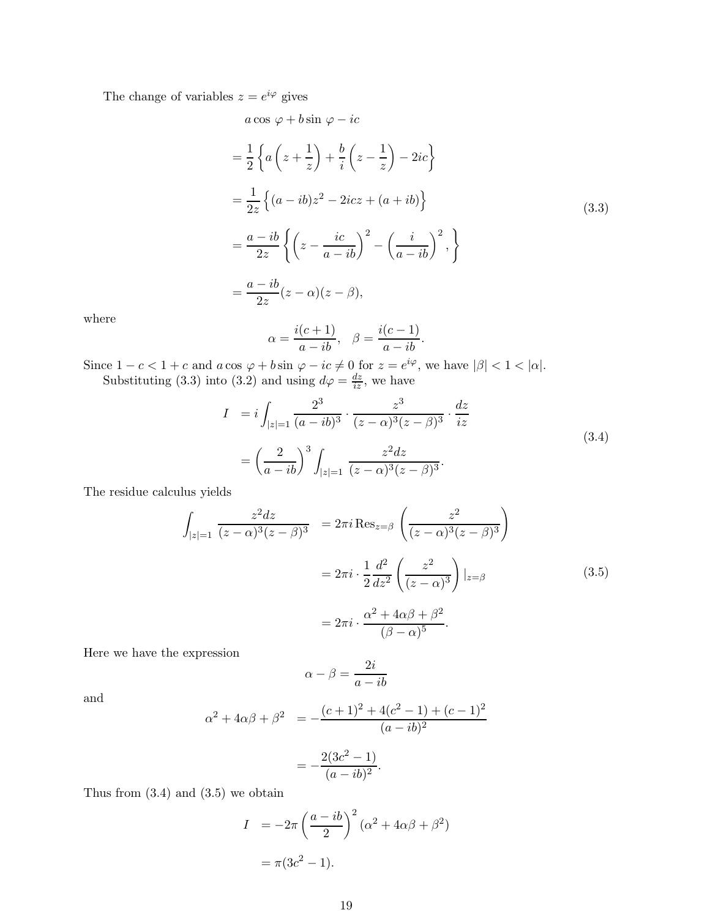The change of variables  $z = e^{i\varphi}$  gives

$$
a \cos \varphi + b \sin \varphi - ic
$$
  
=  $\frac{1}{2} \left\{ a \left( z + \frac{1}{z} \right) + \frac{b}{i} \left( z - \frac{1}{z} \right) - 2ic \right\}$   
=  $\frac{1}{2z} \left\{ (a - ib) z^2 - 2icz + (a + ib) \right\}$   
=  $\frac{a - ib}{2z} \left\{ \left( z - \frac{ic}{a - ib} \right)^2 - \left( \frac{i}{a - ib} \right)^2 \right\}$   
=  $\frac{a - ib}{2z} (z - \alpha)(z - \beta),$  (3.3)

where

$$
\alpha = \frac{i(c+1)}{a - ib}, \quad \beta = \frac{i(c-1)}{a - ib}.
$$

Since  $1 - c < 1 + c$  and  $a \cos \varphi + b \sin \varphi - ic \neq 0$  for  $z = e^{i\varphi}$ , we have  $|\beta| < 1 < |\alpha|$ . Substituting (3.3) into (3.2) and using  $d\varphi = \frac{dz}{iz}$ , we have

$$
I = i \int_{|z|=1} \frac{2^3}{(a - ib)^3} \cdot \frac{z^3}{(z - \alpha)^3 (z - \beta)^3} \cdot \frac{dz}{iz}
$$
  
=  $\left(\frac{2}{a - ib}\right)^3 \int_{|z|=1} \frac{z^2 dz}{(z - \alpha)^3 (z - \beta)^3}.$  (3.4)

The residue calculus yields

$$
\int_{|z|=1} \frac{z^2 dz}{(z-\alpha)^3 (z-\beta)^3} = 2\pi i \operatorname{Res}_{z=\beta} \left( \frac{z^2}{(z-\alpha)^3 (z-\beta)^3} \right)
$$

$$
= 2\pi i \cdot \frac{1}{2} \frac{d^2}{dz^2} \left( \frac{z^2}{(z-\alpha)^3} \right) |_{z=\beta}
$$

$$
= 2\pi i \cdot \frac{\alpha^2 + 4\alpha\beta + \beta^2}{(\beta-\alpha)^5}.
$$
(3.5)

Here we have the expression

$$
\alpha - \beta = \frac{2i}{a - ib}
$$

and

$$
\alpha^{2} + 4\alpha\beta + \beta^{2} = -\frac{(c+1)^{2} + 4(c^{2} - 1) + (c-1)^{2}}{(a - ib)^{2}}
$$

$$
= -\frac{2(3c^{2} - 1)}{(a - ib)^{2}}.
$$

Thus from  $(3.4)$  and  $(3.5)$  we obtain

$$
I = -2\pi \left(\frac{a - ib}{2}\right)^2 (\alpha^2 + 4\alpha\beta + \beta^2)
$$

$$
= \pi (3c^2 - 1).
$$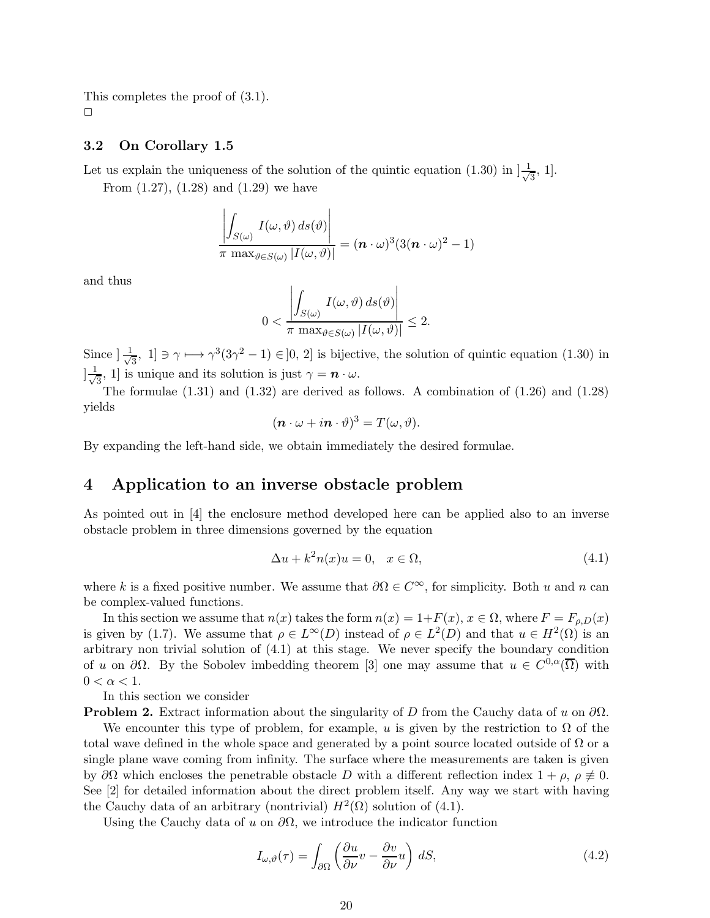This completes the proof of (3.1).  $\Box$ 

### 3.2 On Corollary 1.5

Let us explain the uniqueness of the solution of the quintic equation (1.30) in  $\frac{1}{\sqrt{2}}$  $\frac{1}{3}$ , 1].

From  $(1.27)$ ,  $(1.28)$  and  $(1.29)$  we have

$$
\frac{\left|\int_{S(\omega)} I(\omega,\vartheta) \, ds(\vartheta)\right|}{\pi \, \max_{\vartheta \in S(\omega)} |I(\omega,\vartheta)|} = (\boldsymbol{n} \cdot \omega)^3 (3(\boldsymbol{n} \cdot \omega)^2 - 1)
$$

and thus

$$
0 < \frac{\left| \int_{S(\omega)} I(\omega, \vartheta) \, ds(\vartheta) \right|}{\pi \, \max_{\vartheta \in S(\omega)} |I(\omega, \vartheta)|} \leq 2.
$$

Since  $\frac{1}{\sqrt{2}}$  $\frac{1}{3}$ , 1] ∋  $\gamma$  →  $\gamma^3(3\gamma^2 - 1) \in ]0, 2]$  is bijective, the solution of quintic equation (1.30) in  $\frac{1}{\sqrt{2}}$  $\frac{1}{3}$ , 1] is unique and its solution is just  $\gamma = n \cdot \omega$ .

The formulae  $(1.31)$  and  $(1.32)$  are derived as follows. A combination of  $(1.26)$  and  $(1.28)$ yields

$$
(\boldsymbol{n}\cdot\boldsymbol{\omega}+i\boldsymbol{n}\cdot\vartheta)^3=T(\boldsymbol{\omega},\vartheta).
$$

By expanding the left-hand side, we obtain immediately the desired formulae.

### 4 Application to an inverse obstacle problem

As pointed out in [4] the enclosure method developed here can be applied also to an inverse obstacle problem in three dimensions governed by the equation

$$
\Delta u + k^2 n(x)u = 0, \quad x \in \Omega,
$$
\n(4.1)

where k is a fixed positive number. We assume that  $\partial\Omega \in C^{\infty}$ , for simplicity. Both u and n can be complex-valued functions.

In this section we assume that  $n(x)$  takes the form  $n(x) = 1 + F(x), x \in \Omega$ , where  $F = F_{\rho,D}(x)$ is given by (1.7). We assume that  $\rho \in L^{\infty}(D)$  instead of  $\rho \in L^{2}(D)$  and that  $u \in H^{2}(\Omega)$  is an arbitrary non trivial solution of (4.1) at this stage. We never specify the boundary condition of u on  $\partial\Omega$ . By the Sobolev imbedding theorem [3] one may assume that  $u \in C^{0,\alpha}(\overline{\Omega})$  with  $0<\alpha<1.$ 

In this section we consider

**Problem 2.** Extract information about the singularity of D from the Cauchy data of u on  $\partial\Omega$ .

We encounter this type of problem, for example, u is given by the restriction to  $\Omega$  of the total wave defined in the whole space and generated by a point source located outside of  $\Omega$  or a single plane wave coming from infinity. The surface where the measurements are taken is given by  $\partial\Omega$  which encloses the penetrable obstacle D with a different reflection index  $1 + \rho$ ,  $\rho \neq 0$ . See [2] for detailed information about the direct problem itself. Any way we start with having the Cauchy data of an arbitrary (nontrivial)  $H^2(\Omega)$  solution of (4.1).

Using the Cauchy data of u on  $\partial\Omega$ , we introduce the indicator function

$$
I_{\omega,\vartheta}(\tau) = \int_{\partial\Omega} \left( \frac{\partial u}{\partial \nu} v - \frac{\partial v}{\partial \nu} u \right) dS,
$$
\n(4.2)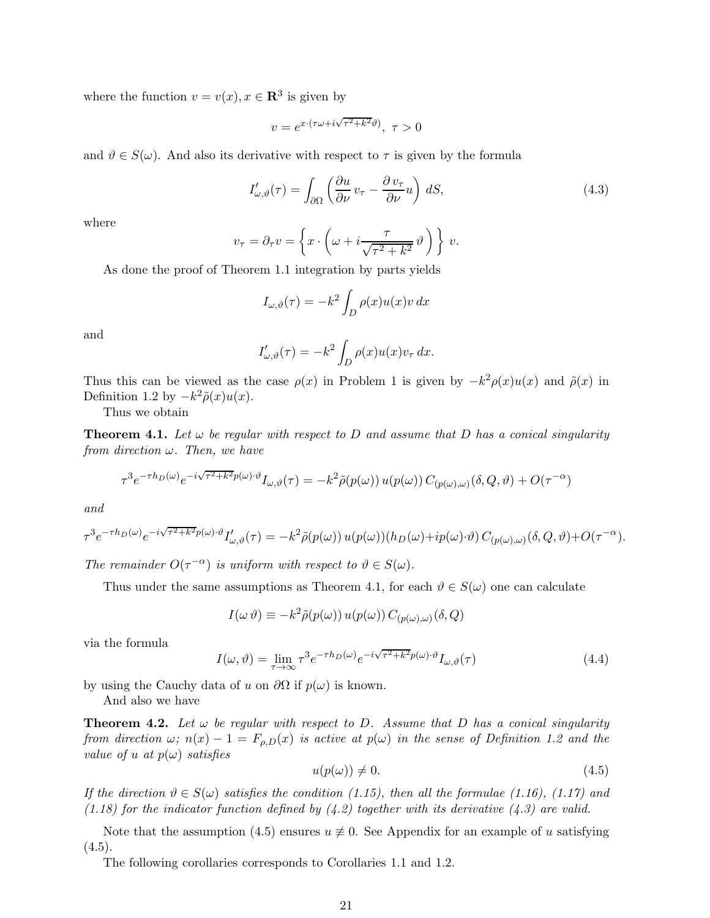where the function  $v = v(x), x \in \mathbb{R}^3$  is given by

$$
v = e^{x \cdot (\tau \omega + i \sqrt{\tau^2 + k^2} \vartheta)}, \ \tau > 0
$$

and  $\vartheta \in S(\omega)$ . And also its derivative with respect to  $\tau$  is given by the formula

$$
I'_{\omega,\vartheta}(\tau) = \int_{\partial\Omega} \left( \frac{\partial u}{\partial \nu} v_{\tau} - \frac{\partial v_{\tau}}{\partial \nu} u \right) dS,
$$
\n(4.3)

where

$$
v_{\tau} = \partial_{\tau} v = \left\{ x \cdot \left( \omega + i \frac{\tau}{\sqrt{\tau^2 + k^2}} \vartheta \right) \right\} v.
$$

As done the proof of Theorem 1.1 integration by parts yields

$$
I_{\omega,\vartheta}(\tau) = -k^2 \int_D \rho(x) u(x) v \, dx
$$

and

$$
I'_{\omega,\vartheta}(\tau) = -k^2 \int_D \rho(x) u(x) v_\tau dx.
$$

Thus this can be viewed as the case  $\rho(x)$  in Problem 1 is given by  $-k^2 \rho(x) u(x)$  and  $\tilde{\rho}(x)$  in Definition 1.2 by  $-k^2\tilde{\rho}(x)u(x)$ .

Thus we obtain

**Theorem 4.1.** Let  $\omega$  be regular with respect to D and assume that D has a conical singularity from direction  $\omega$ . Then, we have

$$
\tau^3 e^{-\tau h_D(\omega)} e^{-i\sqrt{\tau^2 + k^2}p(\omega)\cdot \vartheta} I_{\omega,\vartheta}(\tau) = -k^2 \tilde{\rho}(p(\omega)) u(p(\omega)) C_{(p(\omega),\omega)}(\delta,Q,\vartheta) + O(\tau^{-\alpha})
$$

and

$$
\tau^3 e^{-\tau h_D(\omega)} e^{-i\sqrt{\tau^2 + k^2}p(\omega)\cdot \vartheta} I'_{\omega,\vartheta}(\tau) = -k^2 \tilde{\rho}(p(\omega)) u(p(\omega)) (h_D(\omega) + ip(\omega)\cdot \vartheta) C_{(p(\omega),\omega)}(\delta,Q,\vartheta) + O(\tau^{-\alpha}).
$$

The remainder  $O(\tau^{-\alpha})$  is uniform with respect to  $\vartheta \in S(\omega)$ .

Thus under the same assumptions as Theorem 4.1, for each  $\vartheta \in S(\omega)$  one can calculate

$$
I(\omega \vartheta) \equiv -k^2 \tilde{\rho}(p(\omega)) u(p(\omega)) C_{(p(\omega), \omega)}(\delta, Q)
$$

via the formula

$$
I(\omega,\vartheta) = \lim_{\tau \to \infty} \tau^3 e^{-\tau h_D(\omega)} e^{-i\sqrt{\tau^2 + k^2}p(\omega) \cdot \vartheta} I_{\omega,\vartheta}(\tau)
$$
(4.4)

by using the Cauchy data of u on  $\partial\Omega$  if  $p(\omega)$  is known.

And also we have

**Theorem 4.2.** Let  $\omega$  be regular with respect to D. Assume that D has a conical singularity from direction  $\omega$ ;  $n(x) - 1 = F_{\rho,D}(x)$  is active at  $p(\omega)$  in the sense of Definition 1.2 and the value of u at  $p(\omega)$  satisfies

$$
u(p(\omega)) \neq 0. \tag{4.5}
$$

If the direction  $\vartheta \in S(\omega)$  satisfies the condition (1.15), then all the formulae (1.16), (1.17) and (1.18) for the indicator function defined by  $(4.2)$  together with its derivative  $(4.3)$  are valid.

Note that the assumption (4.5) ensures  $u \neq 0$ . See Appendix for an example of u satisfying  $(4.5).$ 

The following corollaries corresponds to Corollaries 1.1 and 1.2.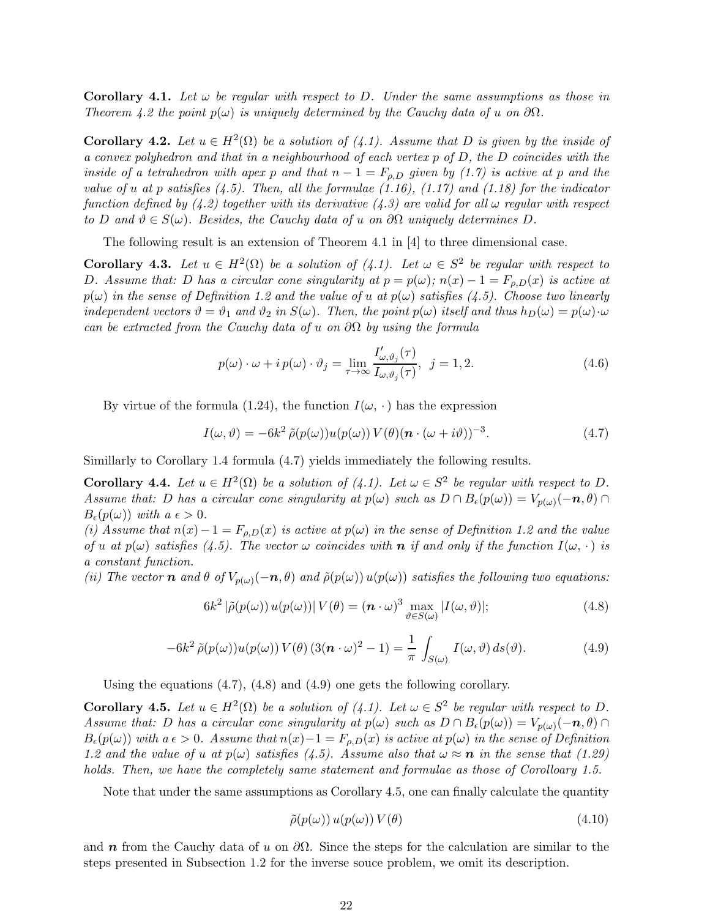**Corollary 4.1.** Let  $\omega$  be regular with respect to D. Under the same assumptions as those in Theorem 4.2 the point  $p(\omega)$  is uniquely determined by the Cauchy data of u on  $\partial\Omega$ .

**Corollary 4.2.** Let  $u \in H^2(\Omega)$  be a solution of  $(4.1)$ . Assume that D is given by the inside of a convex polyhedron and that in a neighbourhood of each vertex  $p$  of  $D$ , the  $D$  coincides with the inside of a tetrahedron with apex p and that  $n-1 = F_{\rho,D}$  given by (1.7) is active at p and the value of u at p satisfies (4.5). Then, all the formulae (1.16), (1.17) and (1.18) for the indicator function defined by (4.2) together with its derivative (4.3) are valid for all  $\omega$  regular with respect to D and  $\vartheta \in S(\omega)$ . Besides, the Cauchy data of u on  $\partial\Omega$  uniquely determines D.

The following result is an extension of Theorem 4.1 in [4] to three dimensional case.

**Corollary 4.3.** Let  $u \in H^2(\Omega)$  be a solution of  $(4.1)$ . Let  $\omega \in S^2$  be regular with respect to D. Assume that: D has a circular cone singularity at  $p = p(\omega)$ ;  $n(x) - 1 = F_{\rho,D}(x)$  is active at  $p(\omega)$  in the sense of Definition 1.2 and the value of u at  $p(\omega)$  satisfies (4.5). Choose two linearly independent vectors  $\vartheta = \vartheta_1$  and  $\vartheta_2$  in  $S(\omega)$ . Then, the point  $p(\omega)$  itself and thus  $h_D(\omega) = p(\omega) \cdot \omega$ can be extracted from the Cauchy data of u on  $\partial\Omega$  by using the formula

$$
p(\omega) \cdot \omega + i p(\omega) \cdot \vartheta_j = \lim_{\tau \to \infty} \frac{I'_{\omega, \vartheta_j}(\tau)}{I_{\omega, \vartheta_j}(\tau)}, \ \ j = 1, 2. \tag{4.6}
$$

By virtue of the formula (1.24), the function  $I(\omega, \cdot)$  has the expression

$$
I(\omega, \vartheta) = -6k^2 \tilde{\rho}(p(\omega))u(p(\omega)) V(\theta) (n \cdot (\omega + i\vartheta))^{-3}.
$$
 (4.7)

Simillarly to Corollary 1.4 formula (4.7) yields immediately the following results.

**Corollary 4.4.** Let  $u \in H^2(\Omega)$  be a solution of  $(4.1)$ . Let  $\omega \in S^2$  be regular with respect to D. Assume that: D has a circular cone singularity at  $p(\omega)$  such as  $D \cap B_{\epsilon}(p(\omega)) = V_{p(\omega)}(-n, \theta) \cap$  $B_{\epsilon}(p(\omega))$  with  $a \epsilon > 0$ .

(i) Assume that  $n(x)-1 = F_{\rho,D}(x)$  is active at  $p(\omega)$  in the sense of Definition 1.2 and the value of u at  $p(\omega)$  satisfies (4.5). The vector  $\omega$  coincides with **n** if and only if the function  $I(\omega, \cdot)$  is a constant function.

(ii) The vector **n** and  $\theta$  of  $V_{p(\omega)}(-n, \theta)$  and  $\tilde{\rho}(p(\omega))u(p(\omega))$  satisfies the following two equations:

$$
6k^2 |\tilde{\rho}(p(\omega)) u(p(\omega))| V(\theta) = (\boldsymbol{n} \cdot \omega)^3 \max_{\vartheta \in S(\omega)} |I(\omega, \vartheta)|;
$$
 (4.8)

$$
-6k^2 \tilde{\rho}(p(\omega))u(p(\omega)) V(\theta) (3(n \cdot \omega)^2 - 1) = \frac{1}{\pi} \int_{S(\omega)} I(\omega, \vartheta) ds(\vartheta).
$$
 (4.9)

Using the equations  $(4.7)$ ,  $(4.8)$  and  $(4.9)$  one gets the following corollary.

**Corollary 4.5.** Let  $u \in H^2(\Omega)$  be a solution of  $(4.1)$ . Let  $\omega \in S^2$  be regular with respect to D. Assume that: D has a circular cone singularity at  $p(\omega)$  such as  $D \cap B_{\epsilon}(p(\omega)) = V_{p(\omega)}(-n, \theta) \cap$  $B_{\epsilon}(p(\omega))$  with  $a \epsilon > 0$ . Assume that  $n(x)-1 = F_{\rho,D}(x)$  is active at  $p(\omega)$  in the sense of Definition 1.2 and the value of u at  $p(\omega)$  satisfies (4.5). Assume also that  $\omega \approx n$  in the sense that (1.29) holds. Then, we have the completely same statement and formulae as those of Corolloary 1.5.

Note that under the same assumptions as Corollary 4.5, one can finally calculate the quantity

$$
\tilde{\rho}(p(\omega)) u(p(\omega)) V(\theta) \tag{4.10}
$$

and n from the Cauchy data of u on  $\partial\Omega$ . Since the steps for the calculation are similar to the steps presented in Subsection 1.2 for the inverse souce problem, we omit its description.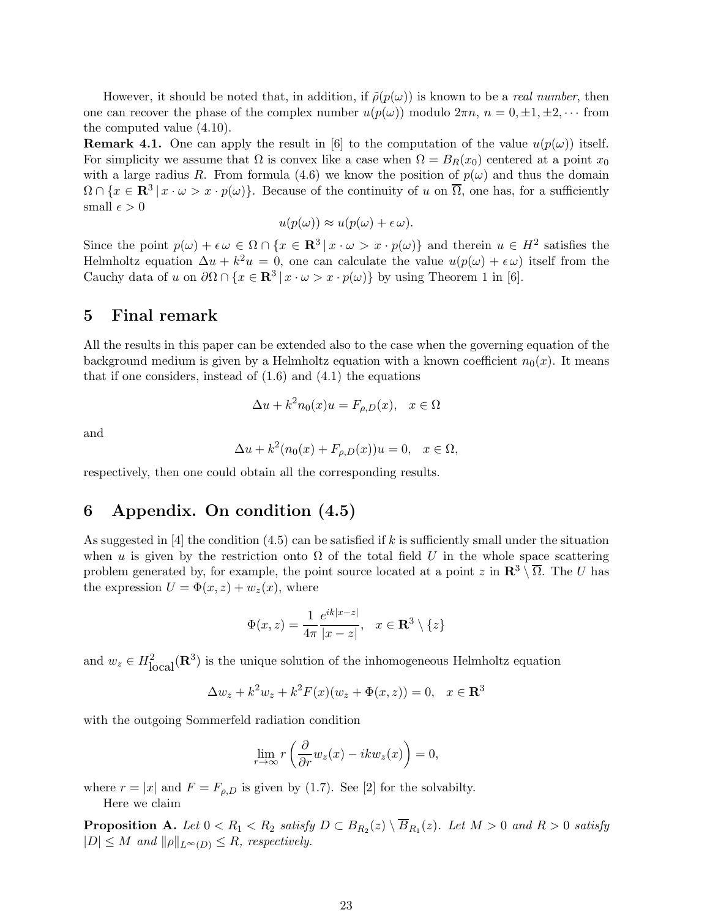However, it should be noted that, in addition, if  $\tilde{\rho}(p(\omega))$  is known to be a *real number*, then one can recover the phase of the complex number  $u(p(\omega))$  modulo  $2\pi n$ ,  $n = 0, \pm 1, \pm 2, \cdots$  from the computed value (4.10).

**Remark 4.1.** One can apply the result in [6] to the computation of the value  $u(p(\omega))$  itself. For simplicity we assume that  $\Omega$  is convex like a case when  $\Omega = B_R(x_0)$  centered at a point  $x_0$ with a large radius R. From formula (4.6) we know the position of  $p(\omega)$  and thus the domain  $\Omega \cap \{x \in \mathbf{R}^3 \mid x \cdot \omega > x \cdot p(\omega)\}.$  Because of the continuity of u on  $\overline{\Omega}$ , one has, for a sufficiently small  $\epsilon > 0$ 

$$
u(p(\omega)) \approx u(p(\omega) + \epsilon \omega).
$$

Since the point  $p(\omega) + \epsilon \omega \in \Omega \cap \{x \in \mathbb{R}^3 \mid x \cdot \omega > x \cdot p(\omega)\}\$  and therein  $u \in H^2$  satisfies the Helmholtz equation  $\Delta u + k^2 u = 0$ , one can calculate the value  $u(p(\omega) + \epsilon \omega)$  itself from the Cauchy data of u on  $\partial\Omega \cap \{x \in \mathbf{R}^3 \mid x \cdot \omega > x \cdot p(\omega)\}\$  by using Theorem 1 in [6].

### 5 Final remark

All the results in this paper can be extended also to the case when the governing equation of the background medium is given by a Helmholtz equation with a known coefficient  $n_0(x)$ . It means that if one considers, instead of  $(1.6)$  and  $(4.1)$  the equations

$$
\Delta u + k^2 n_0(x)u = F_{\rho,D}(x), \quad x \in \Omega
$$

and

$$
\Delta u + k^2 (n_0(x) + F_{\rho,D}(x))u = 0, \quad x \in \Omega,
$$

respectively, then one could obtain all the corresponding results.

## 6 Appendix. On condition (4.5)

As suggested in [4] the condition (4.5) can be satisfied if k is sufficiently small under the situation when u is given by the restriction onto  $\Omega$  of the total field U in the whole space scattering problem generated by, for example, the point source located at a point z in  $\mathbb{R}^3 \setminus \overline{\Omega}$ . The U has the expression  $U = \Phi(x, z) + w_z(x)$ , where

$$
\Phi(x,z) = \frac{1}{4\pi} \frac{e^{ik|x-z|}}{|x-z|}, \quad x \in \mathbf{R}^3 \setminus \{z\}
$$

and  $w_z \in H^2_{\text{local}}(\mathbf{R}^3)$  is the unique solution of the inhomogeneous Helmholtz equation

$$
\Delta w_z + k^2 w_z + k^2 F(x)(w_z + \Phi(x, z)) = 0, \quad x \in \mathbf{R}^3
$$

with the outgoing Sommerfeld radiation condition

$$
\lim_{r \to \infty} r\left(\frac{\partial}{\partial r} w_z(x) - ikw_z(x)\right) = 0,
$$

where  $r = |x|$  and  $F = F_{\rho,D}$  is given by (1.7). See [2] for the solvabilty. Here we claim

**Proposition A.** Let  $0 < R_1 < R_2$  satisfy  $D \subset B_{R_2}(z) \setminus B_{R_1}(z)$ . Let  $M > 0$  and  $R > 0$  satisfy  $|D| \leq M$  and  $\|\rho\|_{L^{\infty}(D)} \leq R$ , respectively.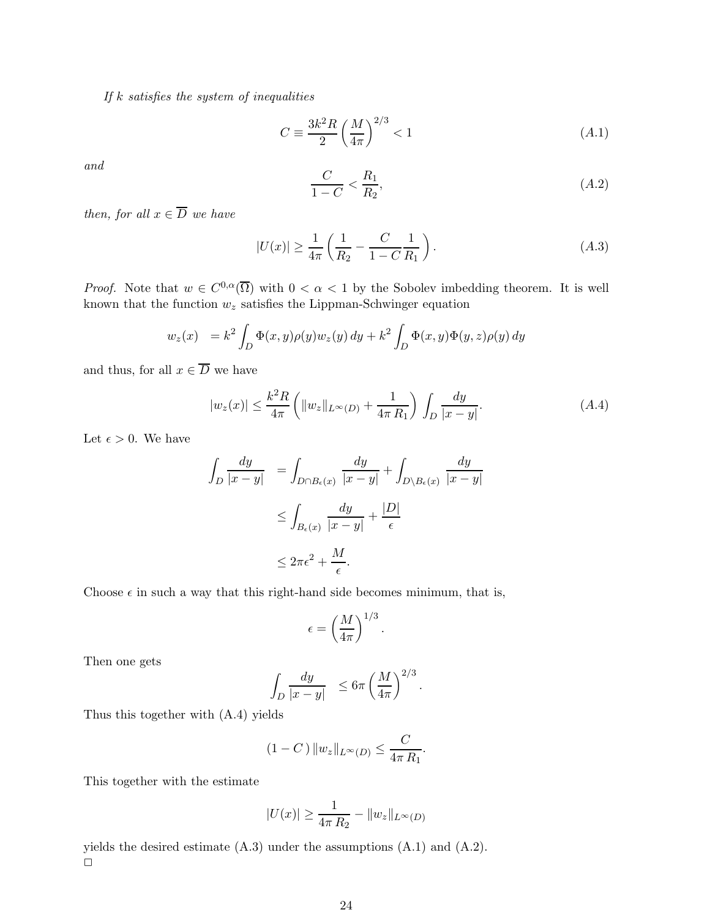If  $k$  satisfies the system of inequalities

$$
C \equiv \frac{3k^2 R}{2} \left(\frac{M}{4\pi}\right)^{2/3} < 1\tag{A.1}
$$

and

$$
\frac{C}{1-C} < \frac{R_1}{R_2},\tag{A.2}
$$

then, for all  $x \in \overline{D}$  we have

$$
|U(x)| \ge \frac{1}{4\pi} \left( \frac{1}{R_2} - \frac{C}{1 - C} \frac{1}{R_1} \right). \tag{A.3}
$$

*Proof.* Note that  $w \in C^{0,\alpha}(\overline{\Omega})$  with  $0 < \alpha < 1$  by the Sobolev imbedding theorem. It is well known that the function  $w_z$  satisfies the Lippman-Schwinger equation

$$
w_z(x) = k^2 \int_D \Phi(x, y) \rho(y) w_z(y) dy + k^2 \int_D \Phi(x, y) \Phi(y, z) \rho(y) dy
$$

and thus, for all  $x \in \overline{D}$  we have

$$
|w_z(x)| \le \frac{k^2 R}{4\pi} \left( \|w_z\|_{L^\infty(D)} + \frac{1}{4\pi R_1} \right) \int_D \frac{dy}{|x - y|}.\tag{A.4}
$$

Let  $\epsilon > 0$ . We have

$$
\int_{D} \frac{dy}{|x - y|} = \int_{D \cap B_{\epsilon}(x)} \frac{dy}{|x - y|} + \int_{D \setminus B_{\epsilon}(x)} \frac{dy}{|x - y|}
$$
  
\n
$$
\leq \int_{B_{\epsilon}(x)} \frac{dy}{|x - y|} + \frac{|D|}{\epsilon}
$$
  
\n
$$
\leq 2\pi\epsilon^{2} + \frac{M}{\epsilon}.
$$

Choose  $\epsilon$  in such a way that this right-hand side becomes minimum, that is,

$$
\epsilon = \left(\frac{M}{4\pi}\right)^{1/3}
$$

.

Then one gets

$$
\int_D \frac{dy}{|x-y|} \leq 6\pi \left(\frac{M}{4\pi}\right)^{2/3}.
$$

Thus this together with (A.4) yields

$$
(1 - C) \|w_z\|_{L^{\infty}(D)} \le \frac{C}{4\pi R_1}.
$$

This together with the estimate

$$
|U(x)| \ge \frac{1}{4\pi R_2} - \|w_z\|_{L^\infty(D)}
$$

yields the desired estimate  $(A.3)$  under the assumptions  $(A.1)$  and  $(A.2)$ .  $\Box$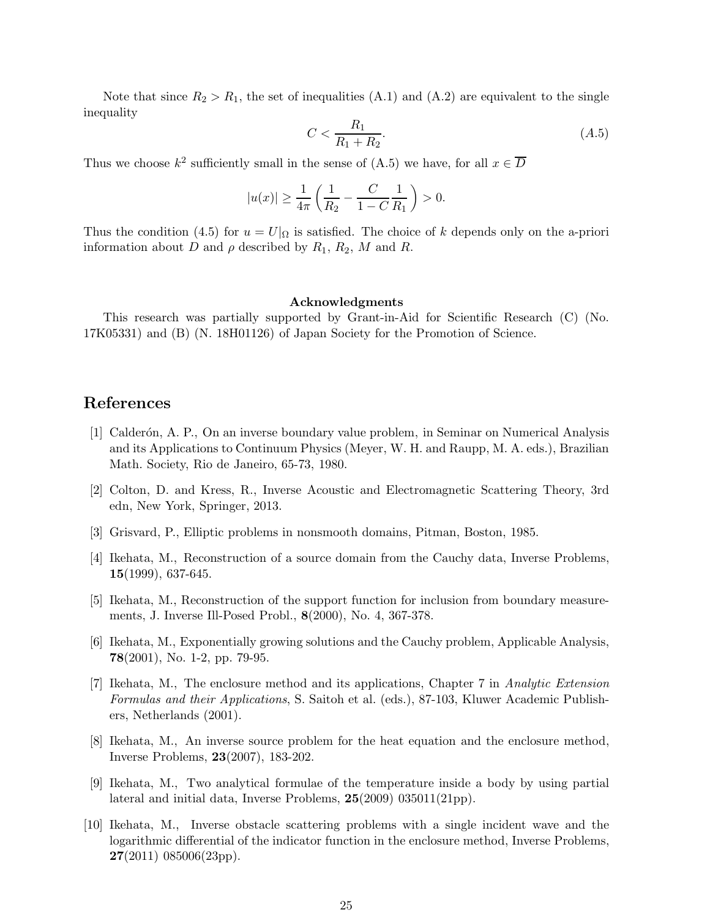Note that since  $R_2 > R_1$ , the set of inequalities (A.1) and (A.2) are equivalent to the single inequality

$$
C < \frac{R_1}{R_1 + R_2}.\tag{A.5}
$$

Thus we choose  $k^2$  sufficiently small in the sense of (A.5) we have, for all  $x \in \overline{D}$ 

$$
|u(x)| \ge \frac{1}{4\pi} \left( \frac{1}{R_2} - \frac{C}{1 - C} \frac{1}{R_1} \right) > 0.
$$

Thus the condition (4.5) for  $u = U|_{\Omega}$  is satisfied. The choice of k depends only on the a-priori information about D and  $\rho$  described by  $R_1, R_2, M$  and R.

#### Acknowledgments

This research was partially supported by Grant-in-Aid for Scientific Research (C) (No. 17K05331) and (B) (N. 18H01126) of Japan Society for the Promotion of Science.

### References

- [1] Calderón, A. P., On an inverse boundary value problem, in Seminar on Numerical Analysis and its Applications to Continuum Physics (Meyer, W. H. and Raupp, M. A. eds.), Brazilian Math. Society, Rio de Janeiro, 65-73, 1980.
- [2] Colton, D. and Kress, R., Inverse Acoustic and Electromagnetic Scattering Theory, 3rd edn, New York, Springer, 2013.
- [3] Grisvard, P., Elliptic problems in nonsmooth domains, Pitman, Boston, 1985.
- [4] Ikehata, M., Reconstruction of a source domain from the Cauchy data, Inverse Problems,  $15(1999), 637-645.$
- [5] Ikehata, M., Reconstruction of the support function for inclusion from boundary measurements, J. Inverse Ill-Posed Probl., 8(2000), No. 4, 367-378.
- [6] Ikehata, M., Exponentially growing solutions and the Cauchy problem, Applicable Analysis, 78(2001), No. 1-2, pp. 79-95.
- [7] Ikehata, M., The enclosure method and its applications, Chapter 7 in Analytic Extension Formulas and their Applications, S. Saitoh et al. (eds.), 87-103, Kluwer Academic Publishers, Netherlands (2001).
- [8] Ikehata, M., An inverse source problem for the heat equation and the enclosure method, Inverse Problems, 23(2007), 183-202.
- [9] Ikehata, M., Two analytical formulae of the temperature inside a body by using partial lateral and initial data, Inverse Problems, 25(2009) 035011(21pp).
- [10] Ikehata, M., Inverse obstacle scattering problems with a single incident wave and the logarithmic differential of the indicator function in the enclosure method, Inverse Problems,  $27(2011)$  085006(23pp).